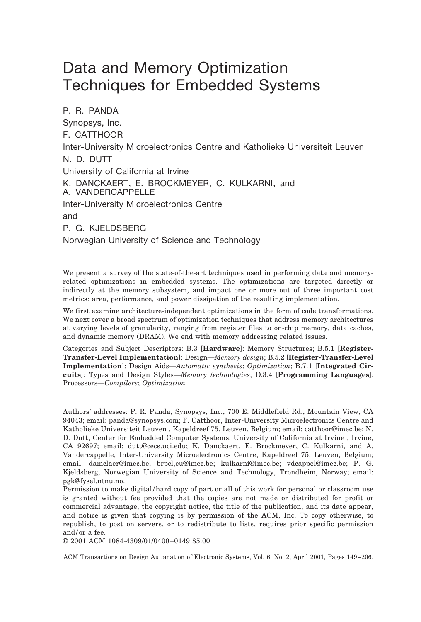# Data and Memory Optimization Techniques for Embedded Systems

P. R. PANDA Synopsys, Inc. F. CATTHOOR Inter-University Microelectronics Centre and Katholieke Universiteit Leuven N. D. DUTT University of California at Irvine K. DANCKAERT, E. BROCKMEYER, C. KULKARNI, and A. VANDERCAPPELLE Inter-University Microelectronics Centre and P. G. KJELDSBERG Norwegian University of Science and Technology

We present a survey of the state-of-the-art techniques used in performing data and memoryrelated optimizations in embedded systems. The optimizations are targeted directly or indirectly at the memory subsystem, and impact one or more out of three important cost metrics: area, performance, and power dissipation of the resulting implementation.

We first examine architecture-independent optimizations in the form of code transformations. We next cover a broad spectrum of optimization techniques that address memory architectures at varying levels of granularity, ranging from register files to on-chip memory, data caches, and dynamic memory (DRAM). We end with memory addressing related issues.

Categories and Subject Descriptors: B.3 [**Hardware**]: Memory Structures; B.5.1 [**Register-Transfer-Level Implementation**]: Design—*Memory design*; B.5.2 [**Register-Transfer-Level Implementation**]: Design Aids—*Automatic synthesis*; *Optimization*; B.7.1 [**Integrated Circuits**]: Types and Design Styles—*Memory technologies*; D.3.4 [**Programming Languages**]: Processors—*Compilers*; *Optimization*

Authors' addresses: P. R. Panda, Synopsys, Inc., 700 E. Middlefield Rd., Mountain View, CA 94043; email: panda@synopsys.com; F. Catthoor, Inter-University Microelectronics Centre and Katholieke Universiteit Leuven , Kapeldreef 75, Leuven, Belgium; email: catthoor@imec.be; N. D. Dutt, Center for Embedded Computer Systems, University of California at Irvine , Irvine, CA 92697; email: dutt@cecs.uci.edu; K. Danckaert, E. Brockmeyer, C. Kulkarni, and A. Vandercappelle, Inter-University Microelectronics Centre, Kapeldreef 75, Leuven, Belgium; email: damclaer@imec.be; brpcl,eu@imec.be; kulkarni@imec.be; vdcappel@imec.be; P. G. Kjeldsberg, Norwegian University of Science and Technology, Trondheim, Norway; email: pgk@fysel.ntnu.no.

Permission to make digital/hard copy of part or all of this work for personal or classroom use is granted without fee provided that the copies are not made or distributed for profit or commercial advantage, the copyright notice, the title of the publication, and its date appear, and notice is given that copying is by permission of the ACM, Inc. To copy otherwise, to republish, to post on servers, or to redistribute to lists, requires prior specific permission and/or a fee.

© 2001 ACM 1084-4309/01/0400–0149 \$5.00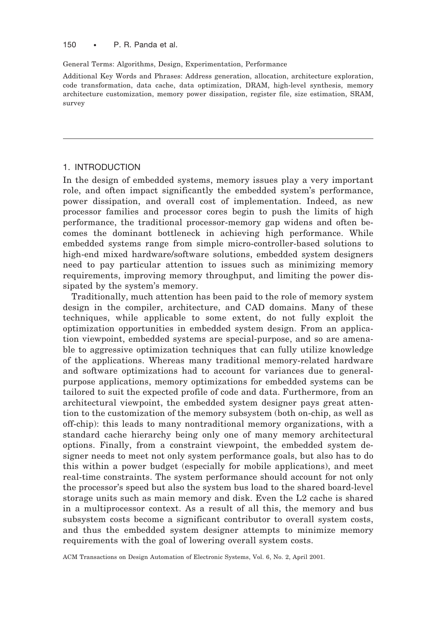General Terms: Algorithms, Design, Experimentation, Performance

Additional Key Words and Phrases: Address generation, allocation, architecture exploration, code transformation, data cache, data optimization, DRAM, high-level synthesis, memory architecture customization, memory power dissipation, register file, size estimation, SRAM, survey

## 1. INTRODUCTION

In the design of embedded systems, memory issues play a very important role, and often impact significantly the embedded system's performance, power dissipation, and overall cost of implementation. Indeed, as new processor families and processor cores begin to push the limits of high performance, the traditional processor-memory gap widens and often becomes the dominant bottleneck in achieving high performance. While embedded systems range from simple micro-controller-based solutions to high-end mixed hardware/software solutions, embedded system designers need to pay particular attention to issues such as minimizing memory requirements, improving memory throughput, and limiting the power dissipated by the system's memory.

Traditionally, much attention has been paid to the role of memory system design in the compiler, architecture, and CAD domains. Many of these techniques, while applicable to some extent, do not fully exploit the optimization opportunities in embedded system design. From an application viewpoint, embedded systems are special-purpose, and so are amenable to aggressive optimization techniques that can fully utilize knowledge of the applications. Whereas many traditional memory-related hardware and software optimizations had to account for variances due to generalpurpose applications, memory optimizations for embedded systems can be tailored to suit the expected profile of code and data. Furthermore, from an architectural viewpoint, the embedded system designer pays great attention to the customization of the memory subsystem (both on-chip, as well as off-chip): this leads to many nontraditional memory organizations, with a standard cache hierarchy being only one of many memory architectural options. Finally, from a constraint viewpoint, the embedded system designer needs to meet not only system performance goals, but also has to do this within a power budget (especially for mobile applications), and meet real-time constraints. The system performance should account for not only the processor's speed but also the system bus load to the shared board-level storage units such as main memory and disk. Even the L2 cache is shared in a multiprocessor context. As a result of all this, the memory and bus subsystem costs become a significant contributor to overall system costs, and thus the embedded system designer attempts to minimize memory requirements with the goal of lowering overall system costs.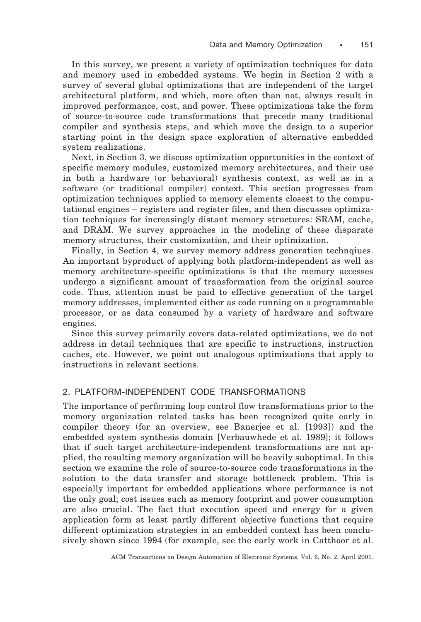In this survey, we present a variety of optimization techniques for data and memory used in embedded systems. We begin in Section 2 with a survey of several global optimizations that are independent of the target architectural platform, and which, more often than not, always result in improved performance, cost, and power. These optimizations take the form of source-to-source code transformations that precede many traditional compiler and synthesis steps, and which move the design to a superior starting point in the design space exploration of alternative embedded system realizations.

Next, in Section 3, we discuss optimization opportunities in the context of specific memory modules, customized memory architectures, and their use in both a hardware (or behavioral) synthesis context, as well as in a software (or traditional compiler) context. This section progresses from optimization techniques applied to memory elements closest to the computational engines – registers and register files, and then discusses optimization techniques for increasingly distant memory structures: SRAM, cache, and DRAM. We survey approaches in the modeling of these disparate memory structures, their customization, and their optimization.

Finally, in Section 4, we survey memory address generation technques. An important byproduct of applying both platform-independent as well as memory architecture-specific optimizations is that the memory accesses undergo a significant amount of transformation from the original source code. Thus, attention must be paid to effective generation of the target memory addresses, implemented either as code running on a programmable processor, or as data consumed by a variety of hardware and software engines.

Since this survey primarily covers data-related optimizations, we do not address in detail techniques that are specific to instructions, instruction caches, etc. However, we point out analogous optimizations that apply to instructions in relevant sections.

# 2. PLATFORM-INDEPENDENT CODE TRANSFORMATIONS

The importance of performing loop control flow transformations prior to the memory organization related tasks has been recognized quite early in compiler theory (for an overview, see Banerjee et al. [1993]) and the embedded system synthesis domain [Verbauwhede et al. 1989]; it follows that if such target architecture-independent transformations are not applied, the resulting memory organization will be heavily suboptimal. In this section we examine the role of source-to-source code transformations in the solution to the data transfer and storage bottleneck problem. This is especially important for embedded applications where performance is not the only goal; cost issues such as memory footprint and power consumption are also crucial. The fact that execution speed and energy for a given application form at least partly different objective functions that require different optimization strategies in an embedded context has been conclusively shown since 1994 (for example, see the early work in Catthoor et al.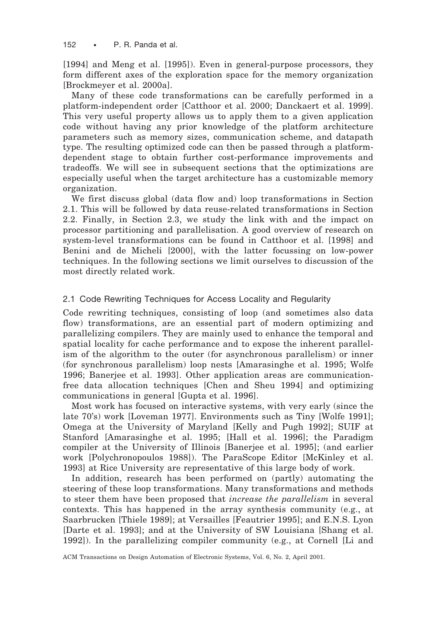[1994] and Meng et al. [1995]). Even in general-purpose processors, they form different axes of the exploration space for the memory organization [Brockmeyer et al. 2000a].

Many of these code transformations can be carefully performed in a platform-independent order [Catthoor et al. 2000; Danckaert et al. 1999]. This very useful property allows us to apply them to a given application code without having any prior knowledge of the platform architecture parameters such as memory sizes, communication scheme, and datapath type. The resulting optimized code can then be passed through a platformdependent stage to obtain further cost-performance improvements and tradeoffs. We will see in subsequent sections that the optimizations are especially useful when the target architecture has a customizable memory organization.

We first discuss global (data flow and) loop transformations in Section 2.1. This will be followed by data reuse-related transformations in Section 2.2. Finally, in Section 2.3, we study the link with and the impact on processor partitioning and parallelisation. A good overview of research on system-level transformations can be found in Catthoor et al. [1998] and Benini and de Micheli [2000], with the latter focussing on low-power techniques. In the following sections we limit ourselves to discussion of the most directly related work.

## 2.1 Code Rewriting Techniques for Access Locality and Regularity

Code rewriting techniques, consisting of loop (and sometimes also data flow) transformations, are an essential part of modern optimizing and parallelizing compilers. They are mainly used to enhance the temporal and spatial locality for cache performance and to expose the inherent parallelism of the algorithm to the outer (for asynchronous parallelism) or inner (for synchronous parallelism) loop nests [Amarasinghe et al. 1995; Wolfe 1996; Banerjee et al. 1993]. Other application areas are communicationfree data allocation techniques [Chen and Sheu 1994] and optimizing communications in general [Gupta et al. 1996].

Most work has focused on interactive systems, with very early (since the late 70's) work [Loveman 1977]. Environments such as Tiny [Wolfe 1991]; Omega at the University of Maryland [Kelly and Pugh 1992]; SUIF at Stanford [Amarasinghe et al. 1995; [Hall et al. 1996]; the Paradigm compiler at the University of Illinois [Banerjee et al. 1995]; (and earlier work [Polychronopoulos 1988]). The ParaScope Editor [McKinley et al. 1993] at Rice University are representative of this large body of work.

In addition, research has been performed on (partly) automating the steering of these loop transformations. Many transformations and methods to steer them have been proposed that *increase the parallelism* in several contexts. This has happened in the array synthesis community (e.g., at Saarbrucken [Thiele 1989]; at Versailles [Feautrier 1995]; and E.N.S. Lyon [Darte et al. 1993]; and at the University of SW Louisiana [Shang et al. 1992]). In the parallelizing compiler community (e.g., at Cornell [Li and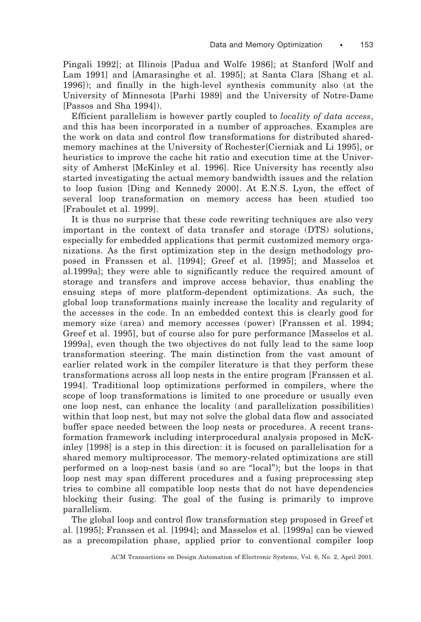Pingali 1992]; at Illinois [Padua and Wolfe 1986]; at Stanford [Wolf and Lam 1991] and [Amarasinghe et al. 1995]; at Santa Clara [Shang et al. 1996]); and finally in the high-level synthesis community also (at the University of Minnesota [Parhi 1989] and the University of Notre-Dame [Passos and Sha 1994]).

Efficient parallelism is however partly coupled to *locality of data access*, and this has been incorporated in a number of approaches. Examples are the work on data and control flow transformations for distributed sharedmemory machines at the University of Rochester[Cierniak and Li 1995], or heuristics to improve the cache hit ratio and execution time at the University of Amherst [McKinley et al. 1996]. Rice University has recently also started investigating the actual memory bandwidth issues and the relation to loop fusion [Ding and Kennedy 2000]. At E.N.S. Lyon, the effect of several loop transformation on memory access has been studied too [Fraboulet et al. 1999].

It is thus no surprise that these code rewriting techniques are also very important in the context of data transfer and storage (DTS) solutions, especially for embedded applications that permit customized memory organizations. As the first optimization step in the design methodology proposed in Franssen et al. [1994]; Greef et al. [1995]; and Masselos et al.1999a]; they were able to significantly reduce the required amount of storage and transfers and improve access behavior, thus enabling the ensuing steps of more platform-dependent optimizations. As such, the global loop transformations mainly increase the locality and regularity of the accesses in the code. In an embedded context this is clearly good for memory size (area) and memory accesses (power) [Franssen et al. 1994; Greef et al. 1995], but of course also for pure performance [Masselos et al. 1999a], even though the two objectives do not fully lead to the same loop transformation steering. The main distinction from the vast amount of earlier related work in the compiler literature is that they perform these transformations across all loop nests in the entire program [Franssen et al. 1994]. Traditional loop optimizations performed in compilers, where the scope of loop transformations is limited to one procedure or usually even one loop nest, can enhance the locality (and parallelization possibilities) within that loop nest, but may not solve the global data flow and associated buffer space needed between the loop nests or procedures. A recent transformation framework including interprocedural analysis proposed in McKinley [1998] is a step in this direction: it is focused on parallelisation for a shared memory multiprocessor. The memory-related optimizations are still performed on a loop-nest basis (and so are "local"); but the loops in that loop nest may span different procedures and a fusing preprocessing step tries to combine all compatible loop nests that do not have dependencies blocking their fusing. The goal of the fusing is primarily to improve parallelism.

The global loop and control flow transformation step proposed in Greef et al. [1995]; Franssen et al. [1994]; and Masselos et al. [1999a] can be viewed as a precompilation phase, applied prior to conventional compiler loop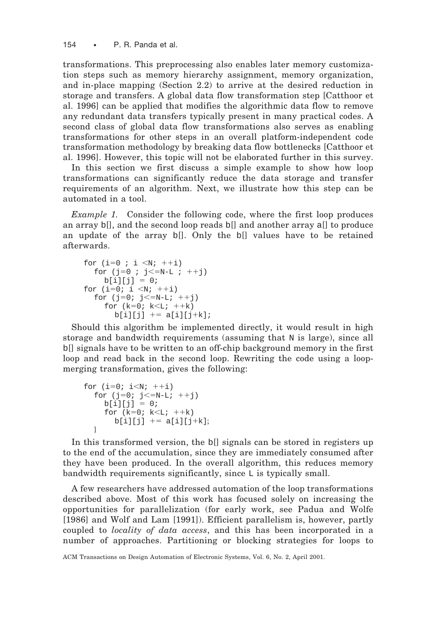transformations. This preprocessing also enables later memory customization steps such as memory hierarchy assignment, memory organization, and in-place mapping (Section 2.2) to arrive at the desired reduction in storage and transfers. A global data flow transformation step [Catthoor et al. 1996] can be applied that modifies the algorithmic data flow to remove any redundant data transfers typically present in many practical codes. A second class of global data flow transformations also serves as enabling transformations for other steps in an overall platform-independent code transformation methodology by breaking data flow bottlenecks [Catthoor et al. 1996]. However, this topic will not be elaborated further in this survey.

In this section we first discuss a simple example to show how loop transformations can significantly reduce the data storage and transfer requirements of an algorithm. Next, we illustrate how this step can be automated in a tool.

*Example 1.* Consider the following code, where the first loop produces an array b[], and the second loop reads b[] and another array a[] to produce an update of the array  $b[]$ . Only the  $b[]$  values have to be retained afterwards.

```
for (i=0; i \le N; ++i)for (j=0 ; j<=N-L ; ++j)b[i][j] = 0;for (i=0; i \le N; ++i)for (j=0; j<=N-L; ++j)for (k=0; k\leq L; ++k)b[i][j] += a[i][j+k];
```
Should this algorithm be implemented directly, it would result in high storage and bandwidth requirements (assuming that N is large), since all b[] signals have to be written to an off-chip background memory in the first loop and read back in the second loop. Rewriting the code using a loopmerging transformation, gives the following:

```
for (i=0; i\leq N; ++i)for (j=0; j<=N-L; ++j)b[i][j] = 0;for (k=0; k\leq L; ++k)b[i][j] += a[i][j+k];
  }
```
In this transformed version, the b[] signals can be stored in registers up to the end of the accumulation, since they are immediately consumed after they have been produced. In the overall algorithm, this reduces memory bandwidth requirements significantly, since L is typically small.

A few researchers have addressed automation of the loop transformations described above. Most of this work has focused solely on increasing the opportunities for parallelization (for early work, see Padua and Wolfe [1986] and Wolf and Lam [1991]). Efficient parallelism is, however, partly coupled to *locality of data access*, and this has been incorporated in a number of approaches. Partitioning or blocking strategies for loops to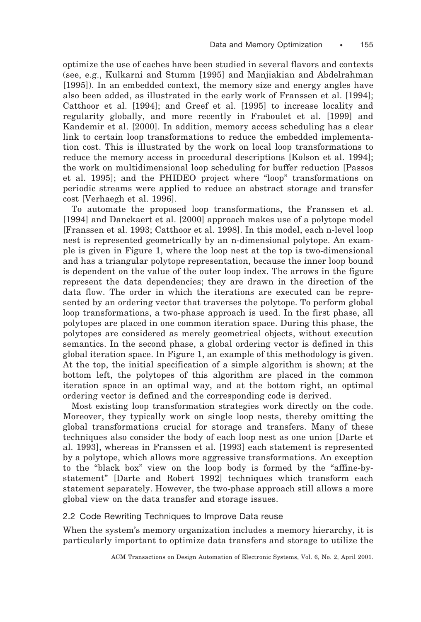optimize the use of caches have been studied in several flavors and contexts (see, e.g., Kulkarni and Stumm [1995] and Manjiakian and Abdelrahman [1995]). In an embedded context, the memory size and energy angles have also been added, as illustrated in the early work of Franssen et al. [1994]; Catthoor et al. [1994]; and Greef et al. [1995] to increase locality and regularity globally, and more recently in Fraboulet et al. [1999] and Kandemir et al. [2000]. In addition, memory access scheduling has a clear link to certain loop transformations to reduce the embedded implementation cost. This is illustrated by the work on local loop transformations to reduce the memory access in procedural descriptions [Kolson et al. 1994]; the work on multidimensional loop scheduling for buffer reduction [Passos et al. 1995]; and the PHIDEO project where "loop" transformations on periodic streams were applied to reduce an abstract storage and transfer cost [Verhaegh et al. 1996].

To automate the proposed loop transformations, the Franssen et al. [1994] and Danckaert et al. [2000] approach makes use of a polytope model [Franssen et al. 1993; Catthoor et al. 1998]. In this model, each n-level loop nest is represented geometrically by an n-dimensional polytope. An example is given in Figure 1, where the loop nest at the top is two-dimensional and has a triangular polytope representation, because the inner loop bound is dependent on the value of the outer loop index. The arrows in the figure represent the data dependencies; they are drawn in the direction of the data flow. The order in which the iterations are executed can be represented by an ordering vector that traverses the polytope. To perform global loop transformations, a two-phase approach is used. In the first phase, all polytopes are placed in one common iteration space. During this phase, the polytopes are considered as merely geometrical objects, without execution semantics. In the second phase, a global ordering vector is defined in this global iteration space. In Figure 1, an example of this methodology is given. At the top, the initial specification of a simple algorithm is shown; at the bottom left, the polytopes of this algorithm are placed in the common iteration space in an optimal way, and at the bottom right, an optimal ordering vector is defined and the corresponding code is derived.

Most existing loop transformation strategies work directly on the code. Moreover, they typically work on single loop nests, thereby omitting the global transformations crucial for storage and transfers. Many of these techniques also consider the body of each loop nest as one union [Darte et al. 1993], whereas in Franssen et al. [1993] each statement is represented by a polytope, which allows more aggressive transformations. An exception to the "black box" view on the loop body is formed by the "affine-bystatement" [Darte and Robert 1992] techniques which transform each statement separately. However, the two-phase approach still allows a more global view on the data transfer and storage issues.

## 2.2 Code Rewriting Techniques to Improve Data reuse

When the system's memory organization includes a memory hierarchy, it is particularly important to optimize data transfers and storage to utilize the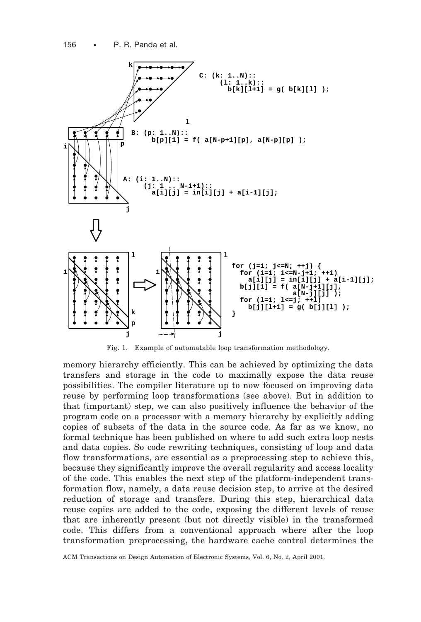

Fig. 1. Example of automatable loop transformation methodology.

memory hierarchy efficiently. This can be achieved by optimizing the data transfers and storage in the code to maximally expose the data reuse possibilities. The compiler literature up to now focused on improving data reuse by performing loop transformations (see above). But in addition to that (important) step, we can also positively influence the behavior of the program code on a processor with a memory hierarchy by explicitly adding copies of subsets of the data in the source code. As far as we know, no formal technique has been published on where to add such extra loop nests and data copies. So code rewriting techniques, consisting of loop and data flow transformations, are essential as a preprocessing step to achieve this, because they significantly improve the overall regularity and access locality of the code. This enables the next step of the platform-independent transformation flow, namely, a data reuse decision step, to arrive at the desired reduction of storage and transfers. During this step, hierarchical data reuse copies are added to the code, exposing the different levels of reuse that are inherently present (but not directly visible) in the transformed code. This differs from a conventional approach where after the loop transformation preprocessing, the hardware cache control determines the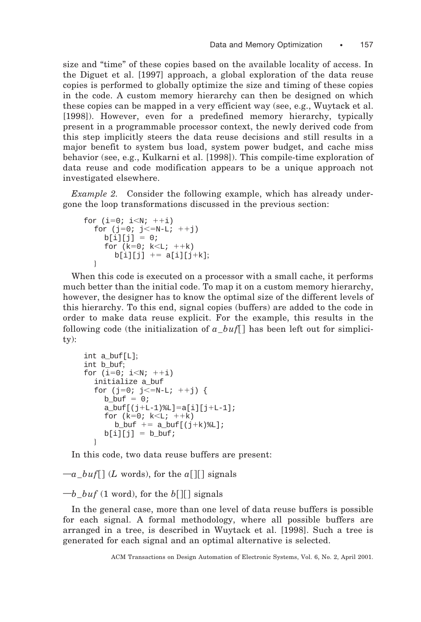size and "time" of these copies based on the available locality of access. In the Diguet et al. [1997] approach, a global exploration of the data reuse copies is performed to globally optimize the size and timing of these copies in the code. A custom memory hierarchy can then be designed on which these copies can be mapped in a very efficient way (see, e.g., Wuytack et al. [1998]). However, even for a predefined memory hierarchy, typically present in a programmable processor context, the newly derived code from this step implicitly steers the data reuse decisions and still results in a major benefit to system bus load, system power budget, and cache miss behavior (see, e.g., Kulkarni et al. [1998]). This compile-time exploration of data reuse and code modification appears to be a unique approach not investigated elsewhere.

*Example 2.* Consider the following example, which has already undergone the loop transformations discussed in the previous section:

```
for (i=0; i\le N; ++i)for (j=0; j<=N-L; ++j)b[i][j] = 0;for (k=0; k\leq L; ++k)b[i][j] += a[i][j+k];
  }
```
When this code is executed on a processor with a small cache, it performs much better than the initial code. To map it on a custom memory hierarchy, however, the designer has to know the optimal size of the different levels of this hierarchy. To this end, signal copies (buffers) are added to the code in order to make data reuse explicit. For the example, this results in the following code (the initialization of *a*  $\delta u f$  has been left out for simplicity):

```
int a_buf[L];
int b_buf;
for (i=0; i\leq N; ++i)initialize a_buf
  for (j=0; j<=N-L; ++j) {
    b buf = 0;
    a buf[(i+L-1)\&L]=a[i][i+L-1];for (k=0; k\leq L; ++k)b_buf += a_buf[(j+k)%L];
    b[i][j] = b buf;
  }
```
In this code, two data reuse buffers are present:

 $\leftarrow a$  *buf*  $(L$  words), for the *a*  $\left[\right]$  signals

 $-b_l$ *buf* (1 word), for the *b*[][] signals

In the general case, more than one level of data reuse buffers is possible for each signal. A formal methodology, where all possible buffers are arranged in a tree, is described in Wuytack et al. [1998]. Such a tree is generated for each signal and an optimal alternative is selected.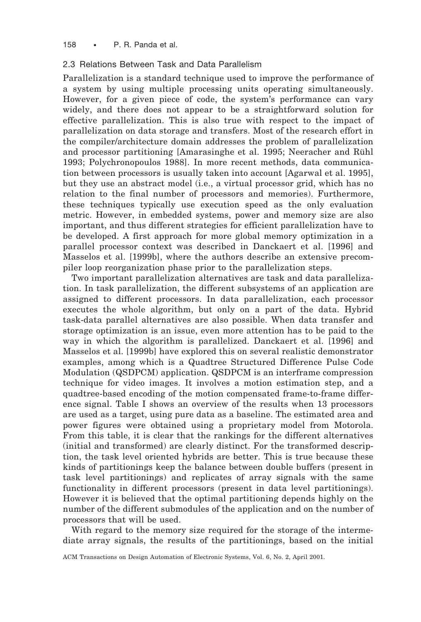## 2.3 Relations Between Task and Data Parallelism

Parallelization is a standard technique used to improve the performance of a system by using multiple processing units operating simultaneously. However, for a given piece of code, the system's performance can vary widely, and there does not appear to be a straightforward solution for effective parallelization. This is also true with respect to the impact of parallelization on data storage and transfers. Most of the research effort in the compiler/architecture domain addresses the problem of parallelization and processor partitioning [Amarasinghe et al. 1995; Neeracher and Rühl 1993; Polychronopoulos 1988]. In more recent methods, data communication between processors is usually taken into account [Agarwal et al. 1995], but they use an abstract model (i.e., a virtual processor grid, which has no relation to the final number of processors and memories). Furthermore, these techniques typically use execution speed as the only evaluation metric. However, in embedded systems, power and memory size are also important, and thus different strategies for efficient parallelization have to be developed. A first approach for more global memory optimization in a parallel processor context was described in Danckaert et al. [1996] and Masselos et al. [1999b], where the authors describe an extensive precompiler loop reorganization phase prior to the parallelization steps.

Two important parallelization alternatives are task and data parallelization. In task parallelization, the different subsystems of an application are assigned to different processors. In data parallelization, each processor executes the whole algorithm, but only on a part of the data. Hybrid task-data parallel alternatives are also possible. When data transfer and storage optimization is an issue, even more attention has to be paid to the way in which the algorithm is parallelized. Danckaert et al. [1996] and Masselos et al. [1999b] have explored this on several realistic demonstrator examples, among which is a Quadtree Structured Difference Pulse Code Modulation (QSDPCM) application. QSDPCM is an interframe compression technique for video images. It involves a motion estimation step, and a quadtree-based encoding of the motion compensated frame-to-frame difference signal. Table I shows an overview of the results when 13 processors are used as a target, using pure data as a baseline. The estimated area and power figures were obtained using a proprietary model from Motorola. From this table, it is clear that the rankings for the different alternatives (initial and transformed) are clearly distinct. For the transformed description, the task level oriented hybrids are better. This is true because these kinds of partitionings keep the balance between double buffers (present in task level partitionings) and replicates of array signals with the same functionality in different processors (present in data level partitionings). However it is believed that the optimal partitioning depends highly on the number of the different submodules of the application and on the number of processors that will be used.

With regard to the memory size required for the storage of the intermediate array signals, the results of the partitionings, based on the initial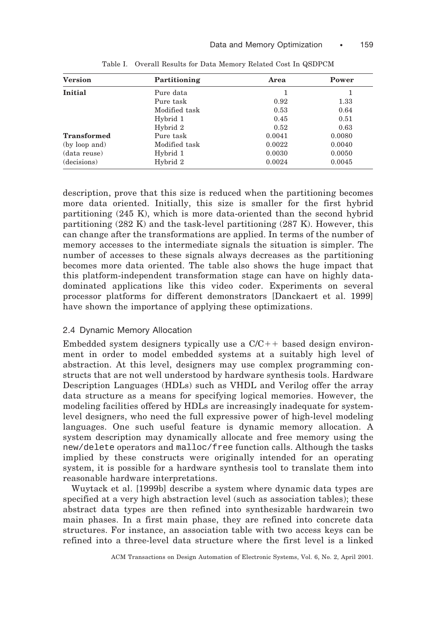| <b>Version</b>     | Partitioning  | Area   | Power  |
|--------------------|---------------|--------|--------|
| <b>Initial</b>     | Pure data     |        |        |
|                    | Pure task     | 0.92   | 1.33   |
|                    | Modified task | 0.53   | 0.64   |
|                    | Hybrid 1      | 0.45   | 0.51   |
|                    | Hybrid 2      | 0.52   | 0.63   |
| <b>Transformed</b> | Pure task     | 0.0041 | 0.0080 |
| (by loop and)      | Modified task | 0.0022 | 0.0040 |
| (data reuse)       | Hybrid 1      | 0.0030 | 0.0050 |
| (decisions)        | Hybrid 2      | 0.0024 | 0.0045 |

Table I. Overall Results for Data Memory Related Cost In QSDPCM

description, prove that this size is reduced when the partitioning becomes more data oriented. Initially, this size is smaller for the first hybrid partitioning (245 K), which is more data-oriented than the second hybrid partitioning (282 K) and the task-level partitioning (287 K). However, this can change after the transformations are applied. In terms of the number of memory accesses to the intermediate signals the situation is simpler. The number of accesses to these signals always decreases as the partitioning becomes more data oriented. The table also shows the huge impact that this platform-independent transformation stage can have on highly datadominated applications like this video coder. Experiments on several processor platforms for different demonstrators [Danckaert et al. 1999] have shown the importance of applying these optimizations.

## 2.4 Dynamic Memory Allocation

Embedded system designers typically use a  $C/C++$  based design environment in order to model embedded systems at a suitably high level of abstraction. At this level, designers may use complex programming constructs that are not well understood by hardware synthesis tools. Hardware Description Languages (HDLs) such as VHDL and Verilog offer the array data structure as a means for specifying logical memories. However, the modeling facilities offered by HDLs are increasingly inadequate for systemlevel designers, who need the full expressive power of high-level modeling languages. One such useful feature is dynamic memory allocation. A system description may dynamically allocate and free memory using the new/delete operators and malloc/free function calls. Although the tasks implied by these constructs were originally intended for an operating system, it is possible for a hardware synthesis tool to translate them into reasonable hardware interpretations.

Wuytack et al. [1999b] describe a system where dynamic data types are specified at a very high abstraction level (such as association tables); these abstract data types are then refined into synthesizable hardwarein two main phases. In a first main phase, they are refined into concrete data structures. For instance, an association table with two access keys can be refined into a three-level data structure where the first level is a linked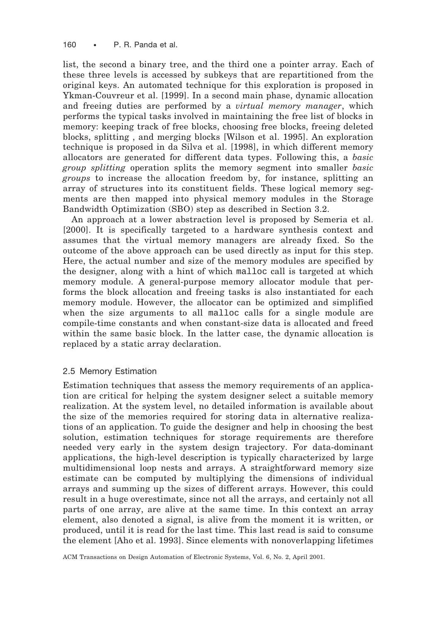list, the second a binary tree, and the third one a pointer array. Each of these three levels is accessed by subkeys that are repartitioned from the original keys. An automated technique for this exploration is proposed in Ykman-Couvreur et al. [1999]. In a second main phase, dynamic allocation and freeing duties are performed by a *virtual memory manager*, which performs the typical tasks involved in maintaining the free list of blocks in memory: keeping track of free blocks, choosing free blocks, freeing deleted blocks, splitting , and merging blocks [Wilson et al. 1995]. An exploration technique is proposed in da Silva et al. [1998], in which different memory allocators are generated for different data types. Following this, a *basic group splitting* operation splits the memory segment into smaller *basic groups* to increase the allocation freedom by, for instance, splitting an array of structures into its constituent fields. These logical memory segments are then mapped into physical memory modules in the Storage Bandwidth Optimization (SBO) step as described in Section 3.2.

An approach at a lower abstraction level is proposed by Semeria et al. [2000]. It is specifically targeted to a hardware synthesis context and assumes that the virtual memory managers are already fixed. So the outcome of the above approach can be used directly as input for this step. Here, the actual number and size of the memory modules are specified by the designer, along with a hint of which malloc call is targeted at which memory module. A general-purpose memory allocator module that performs the block allocation and freeing tasks is also instantiated for each memory module. However, the allocator can be optimized and simplified when the size arguments to all malloc calls for a single module are compile-time constants and when constant-size data is allocated and freed within the same basic block. In the latter case, the dynamic allocation is replaced by a static array declaration.

# 2.5 Memory Estimation

Estimation techniques that assess the memory requirements of an application are critical for helping the system designer select a suitable memory realization. At the system level, no detailed information is available about the size of the memories required for storing data in alternative realizations of an application. To guide the designer and help in choosing the best solution, estimation techniques for storage requirements are therefore needed very early in the system design trajectory. For data-dominant applications, the high-level description is typically characterized by large multidimensional loop nests and arrays. A straightforward memory size estimate can be computed by multiplying the dimensions of individual arrays and summing up the sizes of different arrays. However, this could result in a huge overestimate, since not all the arrays, and certainly not all parts of one array, are alive at the same time. In this context an array element, also denoted a signal, is alive from the moment it is written, or produced, until it is read for the last time. This last read is said to consume the element [Aho et al. 1993]. Since elements with nonoverlapping lifetimes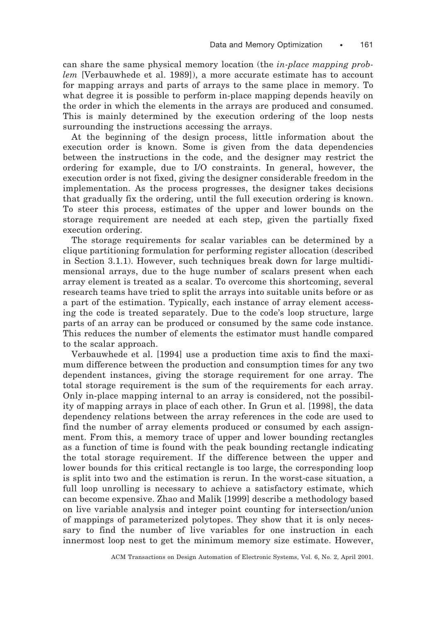can share the same physical memory location (the *in-place mapping problem* [Verbauwhede et al. 1989]), a more accurate estimate has to account for mapping arrays and parts of arrays to the same place in memory. To what degree it is possible to perform in-place mapping depends heavily on the order in which the elements in the arrays are produced and consumed. This is mainly determined by the execution ordering of the loop nests surrounding the instructions accessing the arrays.

At the beginning of the design process, little information about the execution order is known. Some is given from the data dependencies between the instructions in the code, and the designer may restrict the ordering for example, due to I/O constraints. In general, however, the execution order is not fixed, giving the designer considerable freedom in the implementation. As the process progresses, the designer takes decisions that gradually fix the ordering, until the full execution ordering is known. To steer this process, estimates of the upper and lower bounds on the storage requirement are needed at each step, given the partially fixed execution ordering.

The storage requirements for scalar variables can be determined by a clique partitioning formulation for performing register allocation (described in Section 3.1.1). However, such techniques break down for large multidimensional arrays, due to the huge number of scalars present when each array element is treated as a scalar. To overcome this shortcoming, several research teams have tried to split the arrays into suitable units before or as a part of the estimation. Typically, each instance of array element accessing the code is treated separately. Due to the code's loop structure, large parts of an array can be produced or consumed by the same code instance. This reduces the number of elements the estimator must handle compared to the scalar approach.

Verbauwhede et al. [1994] use a production time axis to find the maximum difference between the production and consumption times for any two dependent instances, giving the storage requirement for one array. The total storage requirement is the sum of the requirements for each array. Only in-place mapping internal to an array is considered, not the possibility of mapping arrays in place of each other. In Grun et al. [1998], the data dependency relations between the array references in the code are used to find the number of array elements produced or consumed by each assignment. From this, a memory trace of upper and lower bounding rectangles as a function of time is found with the peak bounding rectangle indicating the total storage requirement. If the difference between the upper and lower bounds for this critical rectangle is too large, the corresponding loop is split into two and the estimation is rerun. In the worst-case situation, a full loop unrolling is necessary to achieve a satisfactory estimate, which can become expensive. Zhao and Malik [1999] describe a methodology based on live variable analysis and integer point counting for intersection/union of mappings of parameterized polytopes. They show that it is only necessary to find the number of live variables for one instruction in each innermost loop nest to get the minimum memory size estimate. However,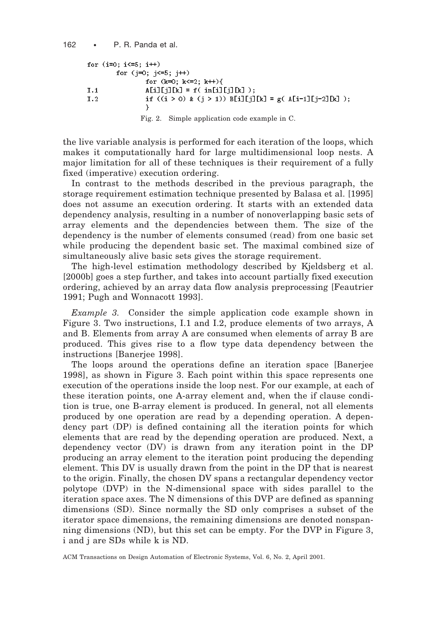162 • P. R. Panda et al.

```
for (i=0; i<=5; i++)for (j=0; j<=5; j++)for (k=0; k<=2; k++){
                A[i][j][k] = f(\infty)[i][j][k]);
T.1I.2if ((i > 0) & (j > 1)) B[i][j][k] = g( A[i-1][j-2][k]);
                Y
               Fig. 2. Simple application code example in C.
```
the live variable analysis is performed for each iteration of the loops, which makes it computationally hard for large multidimensional loop nests. A major limitation for all of these techniques is their requirement of a fully fixed (imperative) execution ordering.

In contrast to the methods described in the previous paragraph, the storage requirement estimation technique presented by Balasa et al. [1995] does not assume an execution ordering. It starts with an extended data dependency analysis, resulting in a number of nonoverlapping basic sets of array elements and the dependencies between them. The size of the dependency is the number of elements consumed (read) from one basic set while producing the dependent basic set. The maximal combined size of simultaneously alive basic sets gives the storage requirement.

The high-level estimation methodology described by Kjeldsberg et al. [2000b] goes a step further, and takes into account partially fixed execution ordering, achieved by an array data flow analysis preprocessing [Feautrier 1991; Pugh and Wonnacott 1993].

*Example 3.* Consider the simple application code example shown in Figure 3. Two instructions, I.1 and I.2, produce elements of two arrays, A and B. Elements from array A are consumed when elements of array B are produced. This gives rise to a flow type data dependency between the instructions [Banerjee 1998].

The loops around the operations define an iteration space [Banerjee 1998], as shown in Figure 3. Each point within this space represents one execution of the operations inside the loop nest. For our example, at each of these iteration points, one A-array element and, when the if clause condition is true, one B-array element is produced. In general, not all elements produced by one operation are read by a depending operation. A dependency part (DP) is defined containing all the iteration points for which elements that are read by the depending operation are produced. Next, a dependency vector (DV) is drawn from any iteration point in the DP producing an array element to the iteration point producing the depending element. This DV is usually drawn from the point in the DP that is nearest to the origin. Finally, the chosen DV spans a rectangular dependency vector polytope (DVP) in the N-dimensional space with sides parallel to the iteration space axes. The N dimensions of this DVP are defined as spanning dimensions (SD). Since normally the SD only comprises a subset of the iterator space dimensions, the remaining dimensions are denoted nonspanning dimensions (ND), but this set can be empty. For the DVP in Figure 3, i and j are SDs while k is ND.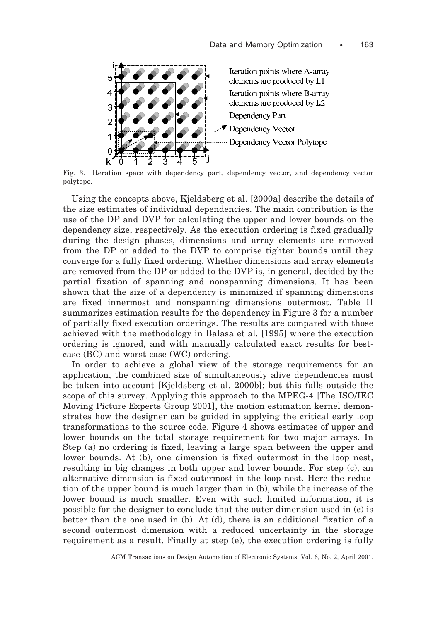

Fig. 3. Iteration space with dependency part, dependency vector, and dependency vector polytope.

Using the concepts above, Kjeldsberg et al. [2000a] describe the details of the size estimates of individual dependencies. The main contribution is the use of the DP and DVP for calculating the upper and lower bounds on the dependency size, respectively. As the execution ordering is fixed gradually during the design phases, dimensions and array elements are removed from the DP or added to the DVP to comprise tighter bounds until they converge for a fully fixed ordering. Whether dimensions and array elements are removed from the DP or added to the DVP is, in general, decided by the partial fixation of spanning and nonspanning dimensions. It has been shown that the size of a dependency is minimized if spanning dimensions are fixed innermost and nonspanning dimensions outermost. Table II summarizes estimation results for the dependency in Figure 3 for a number of partially fixed execution orderings. The results are compared with those achieved with the methodology in Balasa et al. [1995] where the execution ordering is ignored, and with manually calculated exact results for bestcase (BC) and worst-case (WC) ordering.

In order to achieve a global view of the storage requirements for an application, the combined size of simultaneously alive dependencies must be taken into account [Kjeldsberg et al. 2000b]; but this falls outside the scope of this survey. Applying this approach to the MPEG-4 [The ISO/IEC Moving Picture Experts Group 2001], the motion estimation kernel demonstrates how the designer can be guided in applying the critical early loop transformations to the source code. Figure 4 shows estimates of upper and lower bounds on the total storage requirement for two major arrays. In Step (a) no ordering is fixed, leaving a large span between the upper and lower bounds. At (b), one dimension is fixed outermost in the loop nest, resulting in big changes in both upper and lower bounds. For step (c), an alternative dimension is fixed outermost in the loop nest. Here the reduction of the upper bound is much larger than in (b), while the increase of the lower bound is much smaller. Even with such limited information, it is possible for the designer to conclude that the outer dimension used in (c) is better than the one used in (b). At (d), there is an additional fixation of a second outermost dimension with a reduced uncertainty in the storage requirement as a result. Finally at step (e), the execution ordering is fully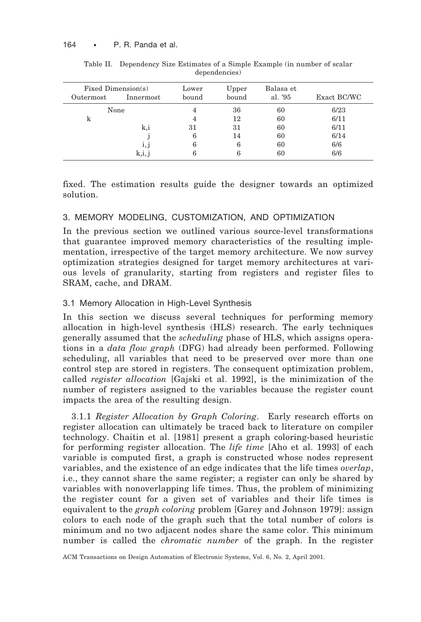#### 164 • P. R. Panda et al.

| Outermost | Fixed Dimension(s)<br>Innermost | Lower<br>bound | Upper<br>bound | Balasa et<br>al. '95 | Exact BC/WC |
|-----------|---------------------------------|----------------|----------------|----------------------|-------------|
| None      |                                 | 4              | 36             | 60                   | 6/23        |
| k         |                                 | 4              | 12             | 60                   | 6/11        |
|           | k,i                             | 31             | 31             | 60                   | 6/11        |
|           |                                 | 6              | 14             | 60                   | 6/14        |
|           | 1, J                            | 6              | 6              | 60                   | 6/6         |
|           | k,i, j                          | 6              | 6              | 60                   | 6/6         |

| Table II. Dependency Size Estimates of a Simple Example (in number of scalar |  |
|------------------------------------------------------------------------------|--|
| dependencies)                                                                |  |

fixed. The estimation results guide the designer towards an optimized solution.

# 3. MEMORY MODELING, CUSTOMIZATION, AND OPTIMIZATION

In the previous section we outlined various source-level transformations that guarantee improved memory characteristics of the resulting implementation, irrespective of the target memory architecture. We now survey optimization strategies designed for target memory architectures at various levels of granularity, starting from registers and register files to SRAM, cache, and DRAM.

# 3.1 Memory Allocation in High-Level Synthesis

In this section we discuss several techniques for performing memory allocation in high-level synthesis (HLS) research. The early techniques generally assumed that the *scheduling* phase of HLS, which assigns operations in a *data flow graph* (DFG) had already been performed. Following scheduling, all variables that need to be preserved over more than one control step are stored in registers. The consequent optimization problem, called *register allocation* [Gajski et al. 1992], is the minimization of the number of registers assigned to the variables because the register count impacts the area of the resulting design.

3.1.1 *Register Allocation by Graph Coloring*. Early research efforts on register allocation can ultimately be traced back to literature on compiler technology. Chaitin et al. [1981] present a graph coloring-based heuristic for performing register allocation. The *life time* [Aho et al. 1993] of each variable is computed first, a graph is constructed whose nodes represent variables, and the existence of an edge indicates that the life times *overlap*, i.e., they cannot share the same register; a register can only be shared by variables with nonoverlapping life times. Thus, the problem of minimizing the register count for a given set of variables and their life times is equivalent to the *graph coloring* problem [Garey and Johnson 1979]: assign colors to each node of the graph such that the total number of colors is minimum and no two adjacent nodes share the same color. This minimum number is called the *chromatic number* of the graph. In the register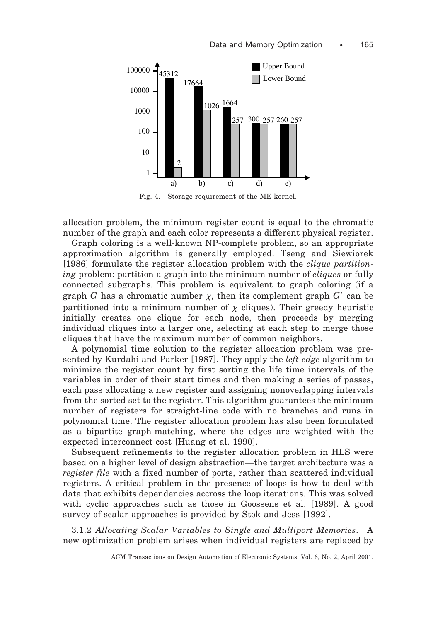

Fig. 4. Storage requirement of the ME kernel.

allocation problem, the minimum register count is equal to the chromatic number of the graph and each color represents a different physical register.

Graph coloring is a well-known NP-complete problem, so an appropriate approximation algorithm is generally employed. Tseng and Siewiorek [1986] formulate the register allocation problem with the *clique partitioning* problem: partition a graph into the minimum number of *cliques* or fully connected subgraphs. This problem is equivalent to graph coloring (if a graph *G* has a chromatic number  $\chi$ , then its complement graph *G*<sup> $\prime$ </sup> can be partitioned into a minimum number of  $\chi$  cliques). Their greedy heuristic initially creates one clique for each node, then proceeds by merging individual cliques into a larger one, selecting at each step to merge those cliques that have the maximum number of common neighbors.

A polynomial time solution to the register allocation problem was presented by Kurdahi and Parker [1987]. They apply the *left-edge* algorithm to minimize the register count by first sorting the life time intervals of the variables in order of their start times and then making a series of passes, each pass allocating a new register and assigning nonoverlapping intervals from the sorted set to the register. This algorithm guarantees the minimum number of registers for straight-line code with no branches and runs in polynomial time. The register allocation problem has also been formulated as a bipartite graph-matching, where the edges are weighted with the expected interconnect cost [Huang et al. 1990].

Subsequent refinements to the register allocation problem in HLS were based on a higher level of design abstraction—the target architecture was a *register file* with a fixed number of ports, rather than scattered individual registers. A critical problem in the presence of loops is how to deal with data that exhibits dependencies accross the loop iterations. This was solved with cyclic approaches such as those in Goossens et al. [1989]. A good survey of scalar approaches is provided by Stok and Jess [1992].

3.1.2 *Allocating Scalar Variables to Single and Multiport Memories*. A new optimization problem arises when individual registers are replaced by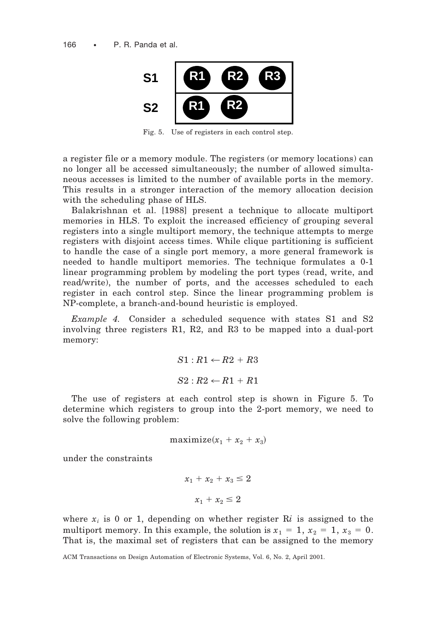

Fig. 5. Use of registers in each control step.

a register file or a memory module. The registers (or memory locations) can no longer all be accessed simultaneously; the number of allowed simultaneous accesses is limited to the number of available ports in the memory. This results in a stronger interaction of the memory allocation decision with the scheduling phase of HLS.

Balakrishnan et al. [1988] present a technique to allocate multiport memories in HLS. To exploit the increased efficiency of grouping several registers into a single multiport memory, the technique attempts to merge registers with disjoint access times. While clique partitioning is sufficient to handle the case of a single port memory, a more general framework is needed to handle multiport memories. The technique formulates a 0-1 linear programming problem by modeling the port types (read, write, and read/write), the number of ports, and the accesses scheduled to each register in each control step. Since the linear programming problem is NP-complete, a branch-and-bound heuristic is employed.

*Example 4.* Consider a scheduled sequence with states S1 and S2 involving three registers R1, R2, and R3 to be mapped into a dual-port memory:

> $S1: R1 \leftarrow R2 + R3$  $S2 \cdot R2 \leftarrow R1 + R1$

The use of registers at each control step is shown in Figure 5. To determine which registers to group into the 2-port memory, we need to solve the following problem:

$$
\text{maximize}(x_1 + x_2 + x_3)
$$

under the constraints

$$
x_1 + x_2 + x_3 \le 2
$$

$$
x_1 + x_2 \le 2
$$

where  $x_i$  is 0 or 1, depending on whether register  $\mathbb{R}$  is assigned to the multiport memory. In this example, the solution is  $x_1 = 1, x_2 = 1, x_3 = 0$ . That is, the maximal set of registers that can be assigned to the memory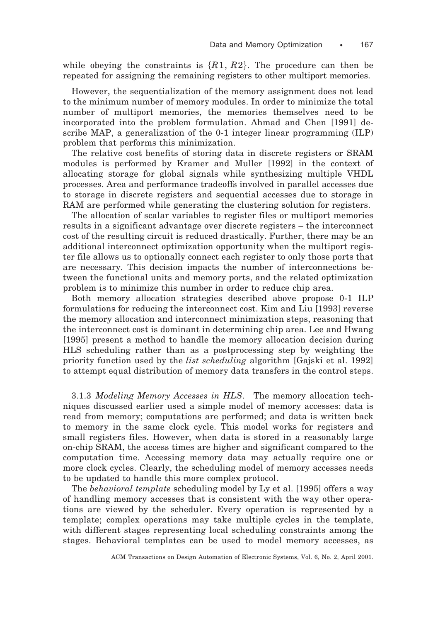while obeying the constraints is  $\{R1, R2\}$ . The procedure can then be repeated for assigning the remaining registers to other multiport memories.

However, the sequentialization of the memory assignment does not lead to the minimum number of memory modules. In order to minimize the total number of multiport memories, the memories themselves need to be incorporated into the problem formulation. Ahmad and Chen [1991] describe MAP, a generalization of the 0-1 integer linear programming (ILP) problem that performs this minimization.

The relative cost benefits of storing data in discrete registers or SRAM modules is performed by Kramer and Muller [1992] in the context of allocating storage for global signals while synthesizing multiple VHDL processes. Area and performance tradeoffs involved in parallel accesses due to storage in discrete registers and sequential accesses due to storage in RAM are performed while generating the clustering solution for registers.

The allocation of scalar variables to register files or multiport memories results in a significant advantage over discrete registers – the interconnect cost of the resulting circuit is reduced drastically. Further, there may be an additional interconnect optimization opportunity when the multiport register file allows us to optionally connect each register to only those ports that are necessary. This decision impacts the number of interconnections between the functional units and memory ports, and the related optimization problem is to minimize this number in order to reduce chip area.

Both memory allocation strategies described above propose 0-1 ILP formulations for reducing the interconnect cost. Kim and Liu [1993] reverse the memory allocation and interconnect minimization steps, reasoning that the interconnect cost is dominant in determining chip area. Lee and Hwang [1995] present a method to handle the memory allocation decision during HLS scheduling rather than as a postprocessing step by weighting the priority function used by the *list scheduling* algorithm [Gajski et al. 1992] to attempt equal distribution of memory data transfers in the control steps.

3.1.3 *Modeling Memory Accesses in HLS*. The memory allocation techniques discussed earlier used a simple model of memory accesses: data is read from memory; computations are performed; and data is written back to memory in the same clock cycle. This model works for registers and small registers files. However, when data is stored in a reasonably large on-chip SRAM, the access times are higher and significant compared to the computation time. Accessing memory data may actually require one or more clock cycles. Clearly, the scheduling model of memory accesses needs to be updated to handle this more complex protocol.

The *behavioral template* scheduling model by Ly et al. [1995] offers a way of handling memory accesses that is consistent with the way other operations are viewed by the scheduler. Every operation is represented by a template; complex operations may take multiple cycles in the template, with different stages representing local scheduling constraints among the stages. Behavioral templates can be used to model memory accesses, as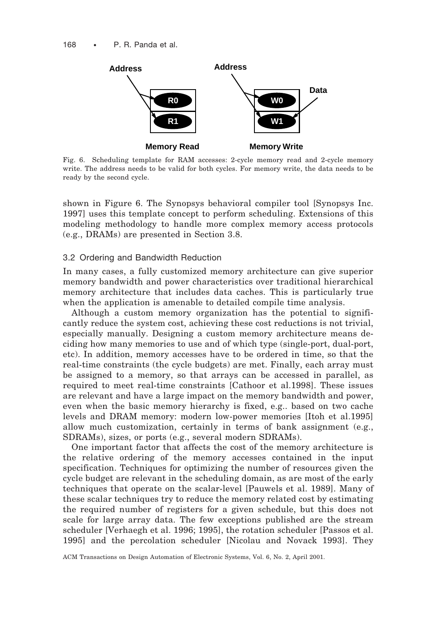

Fig. 6. Scheduling template for RAM accesses: 2-cycle memory read and 2-cycle memory write. The address needs to be valid for both cycles. For memory write, the data needs to be ready by the second cycle.

shown in Figure 6. The Synopsys behavioral compiler tool [Synopsys Inc. 1997] uses this template concept to perform scheduling. Extensions of this modeling methodology to handle more complex memory access protocols (e.g., DRAMs) are presented in Section 3.8.

#### 3.2 Ordering and Bandwidth Reduction

In many cases, a fully customized memory architecture can give superior memory bandwidth and power characteristics over traditional hierarchical memory architecture that includes data caches. This is particularly true when the application is amenable to detailed compile time analysis.

Although a custom memory organization has the potential to significantly reduce the system cost, achieving these cost reductions is not trivial, especially manually. Designing a custom memory architecture means deciding how many memories to use and of which type (single-port, dual-port, etc). In addition, memory accesses have to be ordered in time, so that the real-time constraints (the cycle budgets) are met. Finally, each array must be assigned to a memory, so that arrays can be accessed in parallel, as required to meet real-time constraints [Cathoor et al.1998]. These issues are relevant and have a large impact on the memory bandwidth and power, even when the basic memory hierarchy is fixed, e.g.. based on two cache levels and DRAM memory: modern low-power memories [Itoh et al.1995] allow much customization, certainly in terms of bank assignment (e.g., SDRAMs), sizes, or ports (e.g., several modern SDRAMs).

One important factor that affects the cost of the memory architecture is the relative ordering of the memory accesses contained in the input specification. Techniques for optimizing the number of resources given the cycle budget are relevant in the scheduling domain, as are most of the early techniques that operate on the scalar-level [Pauwels et al. 1989]. Many of these scalar techniques try to reduce the memory related cost by estimating the required number of registers for a given schedule, but this does not scale for large array data. The few exceptions published are the stream scheduler [Verhaegh et al. 1996; 1995], the rotation scheduler [Passos et al. 1995] and the percolation scheduler [Nicolau and Novack 1993]. They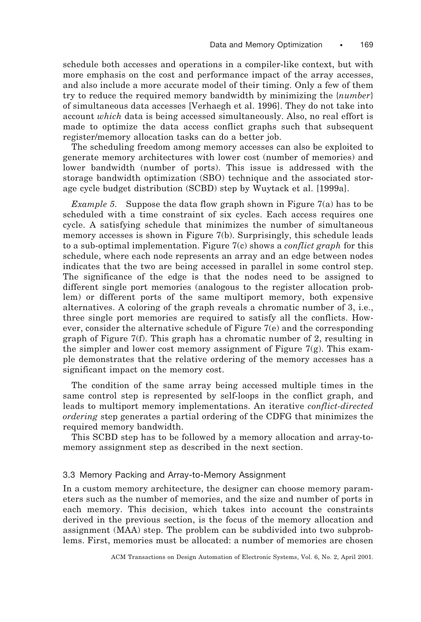schedule both accesses and operations in a compiler-like context, but with more emphasis on the cost and performance impact of the array accesses, and also include a more accurate model of their timing. Only a few of them try to reduce the required memory bandwidth by minimizing the {*number*} of simultaneous data accesses [Verhaegh et al. 1996]. They do not take into account *which* data is being accessed simultaneously. Also, no real effort is made to optimize the data access conflict graphs such that subsequent register/memory allocation tasks can do a better job.

The scheduling freedom among memory accesses can also be exploited to generate memory architectures with lower cost (number of memories) and lower bandwidth (number of ports). This issue is addressed with the storage bandwidth optimization (SBO) technique and the associated storage cycle budget distribution (SCBD) step by Wuytack et al. [1999a].

*Example 5.* Suppose the data flow graph shown in Figure 7(a) has to be scheduled with a time constraint of six cycles. Each access requires one cycle. A satisfying schedule that minimizes the number of simultaneous memory accesses is shown in Figure 7(b). Surprisingly, this schedule leads to a sub-optimal implementation. Figure 7(c) shows a *conflict graph* for this schedule, where each node represents an array and an edge between nodes indicates that the two are being accessed in parallel in some control step. The significance of the edge is that the nodes need to be assigned to different single port memories (analogous to the register allocation problem) or different ports of the same multiport memory, both expensive alternatives. A coloring of the graph reveals a chromatic number of 3, i.e., three single port memories are required to satisfy all the conflicts. However, consider the alternative schedule of Figure 7(e) and the corresponding graph of Figure 7(f). This graph has a chromatic number of 2, resulting in the simpler and lower cost memory assignment of Figure  $7(g)$ . This example demonstrates that the relative ordering of the memory accesses has a significant impact on the memory cost.

The condition of the same array being accessed multiple times in the same control step is represented by self-loops in the conflict graph, and leads to multiport memory implementations. An iterative *conflict-directed ordering* step generates a partial ordering of the CDFG that minimizes the required memory bandwidth.

This SCBD step has to be followed by a memory allocation and array-tomemory assignment step as described in the next section.

## 3.3 Memory Packing and Array-to-Memory Assignment

In a custom memory architecture, the designer can choose memory parameters such as the number of memories, and the size and number of ports in each memory. This decision, which takes into account the constraints derived in the previous section, is the focus of the memory allocation and assignment (MAA) step. The problem can be subdivided into two subproblems. First, memories must be allocated: a number of memories are chosen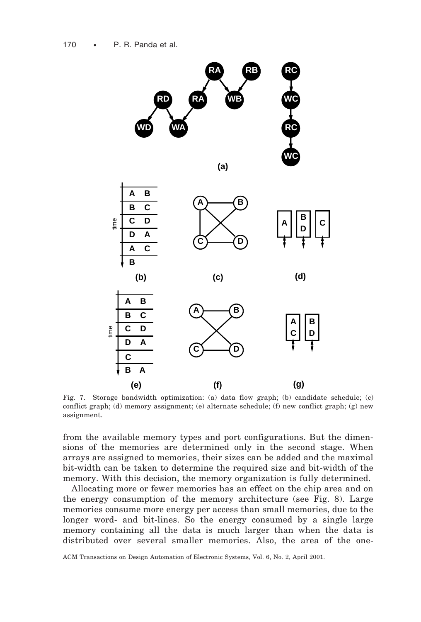

Fig. 7. Storage bandwidth optimization: (a) data flow graph; (b) candidate schedule; (c) conflict graph; (d) memory assignment; (e) alternate schedule; (f) new conflict graph; (g) new assignment.

from the available memory types and port configurations. But the dimensions of the memories are determined only in the second stage. When arrays are assigned to memories, their sizes can be added and the maximal bit-width can be taken to determine the required size and bit-width of the memory. With this decision, the memory organization is fully determined.

Allocating more or fewer memories has an effect on the chip area and on the energy consumption of the memory architecture (see Fig. 8). Large memories consume more energy per access than small memories, due to the longer word- and bit-lines. So the energy consumed by a single large memory containing all the data is much larger than when the data is distributed over several smaller memories. Also, the area of the one-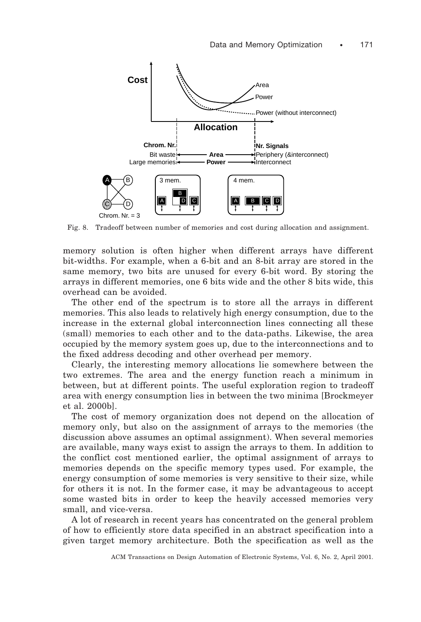

Fig. 8. Tradeoff between number of memories and cost during allocation and assignment.

memory solution is often higher when different arrays have different bit-widths. For example, when a 6-bit and an 8-bit array are stored in the same memory, two bits are unused for every 6-bit word. By storing the arrays in different memories, one 6 bits wide and the other 8 bits wide, this overhead can be avoided.

The other end of the spectrum is to store all the arrays in different memories. This also leads to relatively high energy consumption, due to the increase in the external global interconnection lines connecting all these (small) memories to each other and to the data-paths. Likewise, the area occupied by the memory system goes up, due to the interconnections and to the fixed address decoding and other overhead per memory.

Clearly, the interesting memory allocations lie somewhere between the two extremes. The area and the energy function reach a minimum in between, but at different points. The useful exploration region to tradeoff area with energy consumption lies in between the two minima [Brockmeyer et al. 2000b].

The cost of memory organization does not depend on the allocation of memory only, but also on the assignment of arrays to the memories (the discussion above assumes an optimal assignment). When several memories are available, many ways exist to assign the arrays to them. In addition to the conflict cost mentioned earlier, the optimal assignment of arrays to memories depends on the specific memory types used. For example, the energy consumption of some memories is very sensitive to their size, while for others it is not. In the former case, it may be advantageous to accept some wasted bits in order to keep the heavily accessed memories very small, and vice-versa.

A lot of research in recent years has concentrated on the general problem of how to efficiently store data specified in an abstract specification into a given target memory architecture. Both the specification as well as the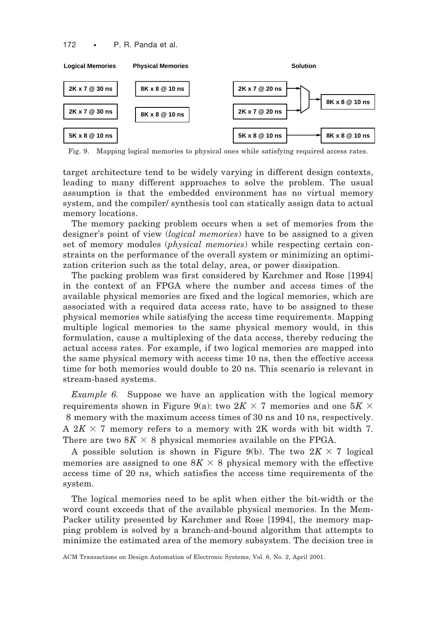#### 172 • P. R. Panda et al.



Fig. 9. Mapping logical memories to physical ones while satisfying required access rates.

target architecture tend to be widely varying in different design contexts, leading to many different approaches to solve the problem. The usual assumption is that the embedded environment has no virtual memory system, and the compiler/ synthesis tool can statically assign data to actual memory locations.

The memory packing problem occurs when a set of memories from the designer's point of view (*logical memories*) have to be assigned to a given set of memory modules (*physical memories*) while respecting certain constraints on the performance of the overall system or minimizing an optimization criterion such as the total delay, area, or power dissipation.

The packing problem was first considered by Karchmer and Rose [1994] in the context of an FPGA where the number and access times of the available physical memories are fixed and the logical memories, which are associated with a required data access rate, have to be assigned to these physical memories while satisfying the access time requirements. Mapping multiple logical memories to the same physical memory would, in this formulation, cause a multiplexing of the data access, thereby reducing the actual access rates. For example, if two logical memories are mapped into the same physical memory with access time 10 ns, then the effective access time for both memories would double to 20 ns. This scenario is relevant in stream-based systems.

*Example 6.* Suppose we have an application with the logical memory requirements shown in Figure 9(a): two  $2K \times 7$  memories and one  $5K \times$ 8 memory with the maximum access times of 30 ns and 10 ns, respectively. A  $2K \times 7$  memory refers to a memory with 2K words with bit width 7. There are two  $8K \times 8$  physical memories available on the FPGA.

A possible solution is shown in Figure 9(b). The two  $2K \times 7$  logical memories are assigned to one  $8K \times 8$  physical memory with the effective access time of 20 ns, which satisfies the access time requirements of the system.

The logical memories need to be split when either the bit-width or the word count exceeds that of the available physical memories. In the Mem-Packer utility presented by Karchmer and Rose [1994], the memory mapping problem is solved by a branch-and-bound algorithm that attempts to minimize the estimated area of the memory subsystem. The decision tree is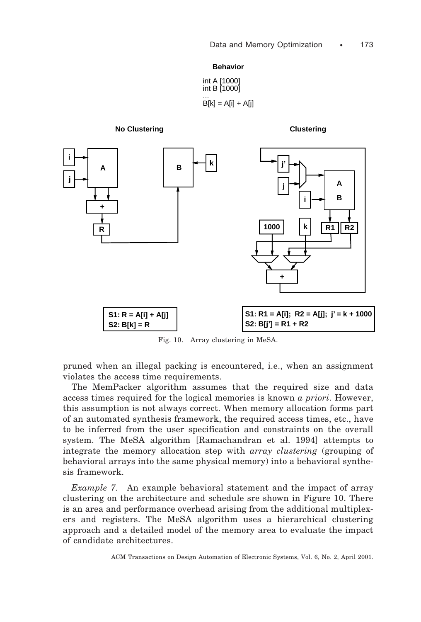#### **Behavior**

int A [1000] int B [1000] ... B[k] = A[i] + A[j]



Fig. 10. Array clustering in MeSA.

pruned when an illegal packing is encountered, i.e., when an assignment violates the access time requirements.

The MemPacker algorithm assumes that the required size and data access times required for the logical memories is known *a priori*. However, this assumption is not always correct. When memory allocation forms part of an automated synthesis framework, the required access times, etc., have to be inferred from the user specification and constraints on the overall system. The MeSA algorithm [Ramachandran et al. 1994] attempts to integrate the memory allocation step with *array clustering* (grouping of behavioral arrays into the same physical memory) into a behavioral synthesis framework.

*Example 7.* An example behavioral statement and the impact of array clustering on the architecture and schedule sre shown in Figure 10. There is an area and performance overhead arising from the additional multiplexers and registers. The MeSA algorithm uses a hierarchical clustering approach and a detailed model of the memory area to evaluate the impact of candidate architectures.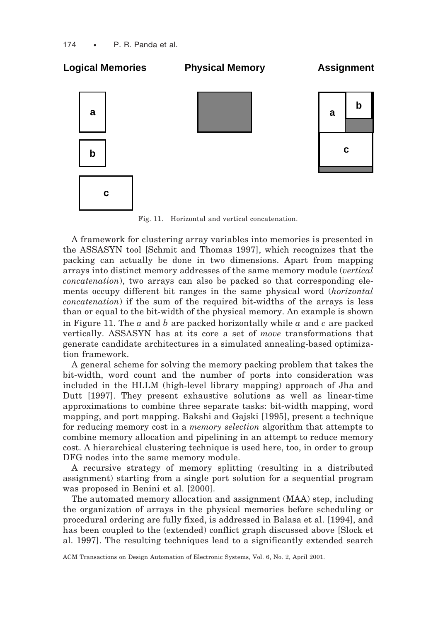

Fig. 11. Horizontal and vertical concatenation.

A framework for clustering array variables into memories is presented in the ASSASYN tool [Schmit and Thomas 1997], which recognizes that the packing can actually be done in two dimensions. Apart from mapping arrays into distinct memory addresses of the same memory module (*vertical concatenation*), two arrays can also be packed so that corresponding elements occupy different bit ranges in the same physical word (*horizontal concatenation*) if the sum of the required bit-widths of the arrays is less than or equal to the bit-width of the physical memory. An example is shown in Figure 11. The *a* and *b* are packed horizontally while *a* and *c* are packed vertically. ASSASYN has at its core a set of *move* transformations that generate candidate architectures in a simulated annealing-based optimization framework.

A general scheme for solving the memory packing problem that takes the bit-width, word count and the number of ports into consideration was included in the HLLM (high-level library mapping) approach of Jha and Dutt [1997]. They present exhaustive solutions as well as linear-time approximations to combine three separate tasks: bit-width mapping, word mapping, and port mapping. Bakshi and Gajski [1995], present a technique for reducing memory cost in a *memory selection* algorithm that attempts to combine memory allocation and pipelining in an attempt to reduce memory cost. A hierarchical clustering technique is used here, too, in order to group DFG nodes into the same memory module.

A recursive strategy of memory splitting (resulting in a distributed assignment) starting from a single port solution for a sequential program was proposed in Benini et al. [2000].

The automated memory allocation and assignment (MAA) step, including the organization of arrays in the physical memories before scheduling or procedural ordering are fully fixed, is addressed in Balasa et al. [1994], and has been coupled to the (extended) conflict graph discussed above [Slock et al. 1997]. The resulting techniques lead to a significantly extended search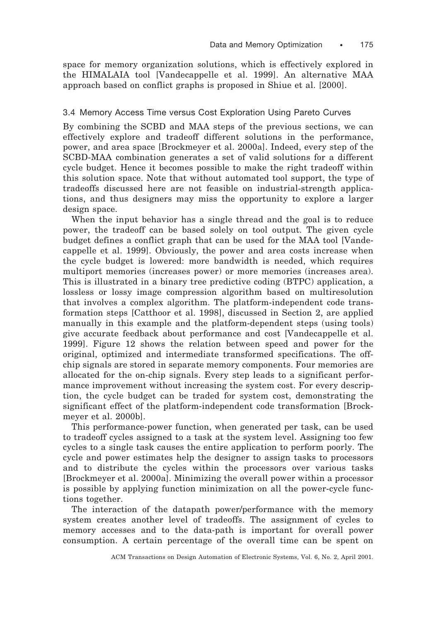space for memory organization solutions, which is effectively explored in the HIMALAIA tool [Vandecappelle et al. 1999]. An alternative MAA approach based on conflict graphs is proposed in Shiue et al. [2000].

# 3.4 Memory Access Time versus Cost Exploration Using Pareto Curves

By combining the SCBD and MAA steps of the previous sections, we can effectively explore and tradeoff different solutions in the performance, power, and area space [Brockmeyer et al. 2000a]. Indeed, every step of the SCBD-MAA combination generates a set of valid solutions for a different cycle budget. Hence it becomes possible to make the right tradeoff within this solution space. Note that without automated tool support, the type of tradeoffs discussed here are not feasible on industrial-strength applications, and thus designers may miss the opportunity to explore a larger design space.

When the input behavior has a single thread and the goal is to reduce power, the tradeoff can be based solely on tool output. The given cycle budget defines a conflict graph that can be used for the MAA tool [Vandecappelle et al. 1999]. Obviously, the power and area costs increase when the cycle budget is lowered: more bandwidth is needed, which requires multiport memories (increases power) or more memories (increases area). This is illustrated in a binary tree predictive coding (BTPC) application, a lossless or lossy image compression algorithm based on multiresolution that involves a complex algorithm. The platform-independent code transformation steps [Catthoor et al. 1998], discussed in Section 2, are applied manually in this example and the platform-dependent steps (using tools) give accurate feedback about performance and cost [Vandecappelle et al. 1999]. Figure 12 shows the relation between speed and power for the original, optimized and intermediate transformed specifications. The offchip signals are stored in separate memory components. Four memories are allocated for the on-chip signals. Every step leads to a significant performance improvement without increasing the system cost. For every description, the cycle budget can be traded for system cost, demonstrating the significant effect of the platform-independent code transformation [Brockmeyer et al. 2000b].

This performance-power function, when generated per task, can be used to tradeoff cycles assigned to a task at the system level. Assigning too few cycles to a single task causes the entire application to perform poorly. The cycle and power estimates help the designer to assign tasks to processors and to distribute the cycles within the processors over various tasks [Brockmeyer et al. 2000a]. Minimizing the overall power within a processor is possible by applying function minimization on all the power-cycle functions together.

The interaction of the datapath power/performance with the memory system creates another level of tradeoffs. The assignment of cycles to memory accesses and to the data-path is important for overall power consumption. A certain percentage of the overall time can be spent on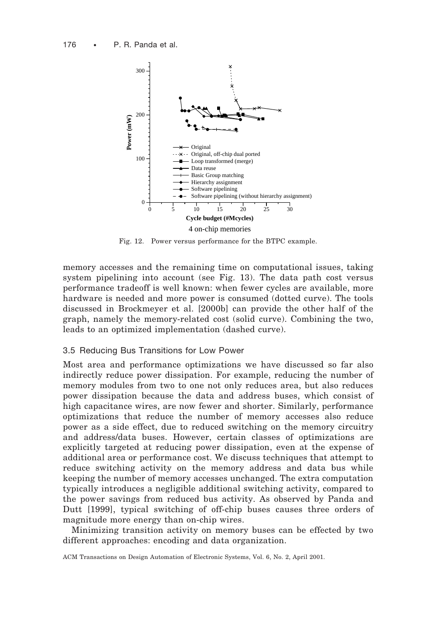

Fig. 12. Power versus performance for the BTPC example.

memory accesses and the remaining time on computational issues, taking system pipelining into account (see Fig. 13). The data path cost versus performance tradeoff is well known: when fewer cycles are available, more hardware is needed and more power is consumed (dotted curve). The tools discussed in Brockmeyer et al. [2000b] can provide the other half of the graph, namely the memory-related cost (solid curve). Combining the two, leads to an optimized implementation (dashed curve).

## 3.5 Reducing Bus Transitions for Low Power

Most area and performance optimizations we have discussed so far also indirectly reduce power dissipation. For example, reducing the number of memory modules from two to one not only reduces area, but also reduces power dissipation because the data and address buses, which consist of high capacitance wires, are now fewer and shorter. Similarly, performance optimizations that reduce the number of memory accesses also reduce power as a side effect, due to reduced switching on the memory circuitry and address/data buses. However, certain classes of optimizations are explicitly targeted at reducing power dissipation, even at the expense of additional area or performance cost. We discuss techniques that attempt to reduce switching activity on the memory address and data bus while keeping the number of memory accesses unchanged. The extra computation typically introduces a negligible additional switching activity, compared to the power savings from reduced bus activity. As observed by Panda and Dutt [1999], typical switching of off-chip buses causes three orders of magnitude more energy than on-chip wires.

Minimizing transition activity on memory buses can be effected by two different approaches: encoding and data organization.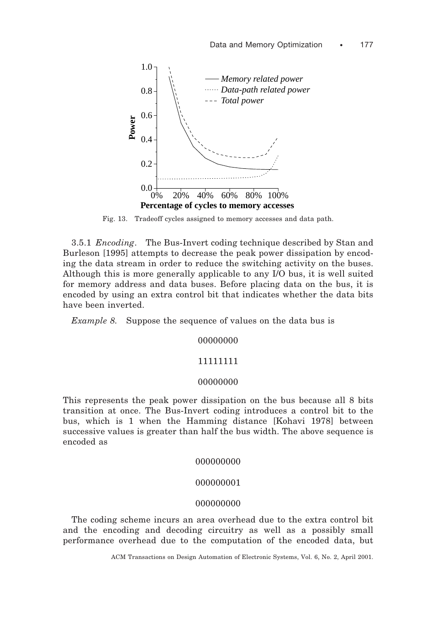

Fig. 13. Tradeoff cycles assigned to memory accesses and data path.

3.5.1 *Encoding*. The Bus-Invert coding technique described by Stan and Burleson [1995] attempts to decrease the peak power dissipation by encoding the data stream in order to reduce the switching activity on the buses. Although this is more generally applicable to any I/O bus, it is well suited for memory address and data buses. Before placing data on the bus, it is encoded by using an extra control bit that indicates whether the data bits have been inverted.

*Example 8.* Suppose the sequence of values on the data bus is

#### 00000000

# 11111111

## 00000000

This represents the peak power dissipation on the bus because all 8 bits transition at once. The Bus-Invert coding introduces a control bit to the bus, which is 1 when the Hamming distance [Kohavi 1978] between successive values is greater than half the bus width. The above sequence is encoded as

#### 000000000

## 000000001

#### 000000000

The coding scheme incurs an area overhead due to the extra control bit and the encoding and decoding circuitry as well as a possibly small performance overhead due to the computation of the encoded data, but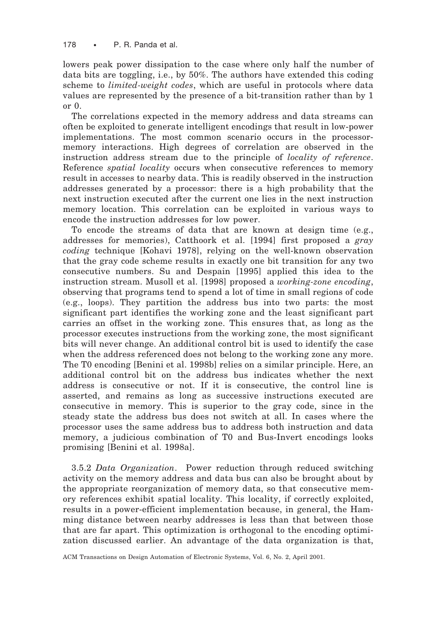lowers peak power dissipation to the case where only half the number of data bits are toggling, i.e., by 50%. The authors have extended this coding scheme to *limited-weight codes*, which are useful in protocols where data values are represented by the presence of a bit-transition rather than by 1 or 0.

The correlations expected in the memory address and data streams can often be exploited to generate intelligent encodings that result in low-power implementations. The most common scenario occurs in the processormemory interactions. High degrees of correlation are observed in the instruction address stream due to the principle of *locality of reference*. Reference *spatial locality* occurs when consecutive references to memory result in accesses to nearby data. This is readily observed in the instruction addresses generated by a processor: there is a high probability that the next instruction executed after the current one lies in the next instruction memory location. This correlation can be exploited in various ways to encode the instruction addresses for low power.

To encode the streams of data that are known at design time (e.g., addresses for memories), Catthoork et al. [1994] first proposed a *gray coding* technique [Kohavi 1978], relying on the well-known observation that the gray code scheme results in exactly one bit transition for any two consecutive numbers. Su and Despain [1995] applied this idea to the instruction stream. Musoll et al. [1998] proposed a *working-zone encoding*, observing that programs tend to spend a lot of time in small regions of code (e.g., loops). They partition the address bus into two parts: the most significant part identifies the working zone and the least significant part carries an offset in the working zone. This ensures that, as long as the processor executes instructions from the working zone, the most significant bits will never change. An additional control bit is used to identify the case when the address referenced does not belong to the working zone any more. The T0 encoding [Benini et al. 1998b] relies on a similar principle. Here, an additional control bit on the address bus indicates whether the next address is consecutive or not. If it is consecutive, the control line is asserted, and remains as long as successive instructions executed are consecutive in memory. This is superior to the gray code, since in the steady state the address bus does not switch at all. In cases where the processor uses the same address bus to address both instruction and data memory, a judicious combination of T0 and Bus-Invert encodings looks promising [Benini et al. 1998a].

3.5.2 *Data Organization*. Power reduction through reduced switching activity on the memory address and data bus can also be brought about by the appropriate reorganization of memory data, so that consecutive memory references exhibit spatial locality. This locality, if correctly exploited, results in a power-efficient implementation because, in general, the Hamming distance between nearby addresses is less than that between those that are far apart. This optimization is orthogonal to the encoding optimization discussed earlier. An advantage of the data organization is that,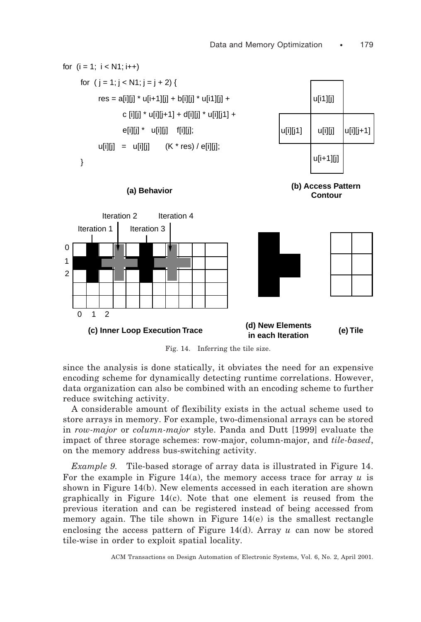



since the analysis is done statically, it obviates the need for an expensive encoding scheme for dynamically detecting runtime correlations. However, data organization can also be combined with an encoding scheme to further reduce switching activity.

A considerable amount of flexibility exists in the actual scheme used to store arrays in memory. For example, two-dimensional arrays can be stored in *row-major* or *column-major* style. Panda and Dutt [1999] evaluate the impact of three storage schemes: row-major, column-major, and *tile-based*, on the memory address bus-switching activity.

*Example 9.* Tile-based storage of array data is illustrated in Figure 14. For the example in Figure 14(a), the memory access trace for array  $u$  is shown in Figure 14(b). New elements accessed in each iteration are shown graphically in Figure 14(c). Note that one element is reused from the previous iteration and can be registered instead of being accessed from memory again. The tile shown in Figure 14(e) is the smallest rectangle enclosing the access pattern of Figure 14(d). Array *u* can now be stored tile-wise in order to exploit spatial locality.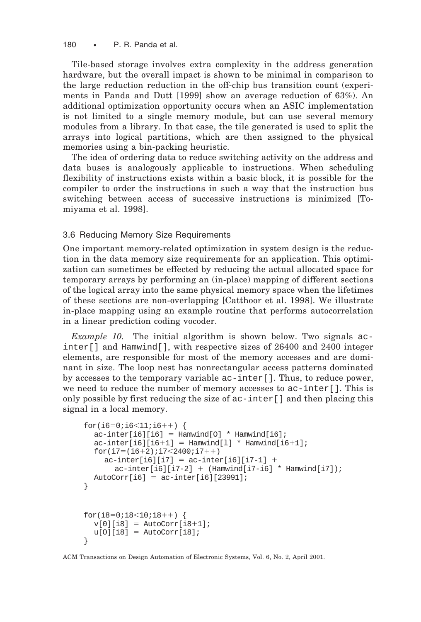180 • P. R. Panda et al.

Tile-based storage involves extra complexity in the address generation hardware, but the overall impact is shown to be minimal in comparison to the large reduction reduction in the off-chip bus transition count (experiments in Panda and Dutt [1999] show an average reduction of 63%). An additional optimization opportunity occurs when an ASIC implementation is not limited to a single memory module, but can use several memory modules from a library. In that case, the tile generated is used to split the arrays into logical partitions, which are then assigned to the physical memories using a bin-packing heuristic.

The idea of ordering data to reduce switching activity on the address and data buses is analogously applicable to instructions. When scheduling flexibility of instructions exists within a basic block, it is possible for the compiler to order the instructions in such a way that the instruction bus switching between access of successive instructions is minimized [Tomiyama et al. 1998].

# 3.6 Reducing Memory Size Requirements

One important memory-related optimization in system design is the reduction in the data memory size requirements for an application. This optimization can sometimes be effected by reducing the actual allocated space for temporary arrays by performing an (in-place) mapping of different sections of the logical array into the same physical memory space when the lifetimes of these sections are non-overlapping [Catthoor et al. 1998]. We illustrate in-place mapping using an example routine that performs autocorrelation in a linear prediction coding vocoder.

*Example 10.* The initial algorithm is shown below. Two signals acinter[] and Hamwind[], with respective sizes of 26400 and 2400 integer elements, are responsible for most of the memory accesses and are dominant in size. The loop nest has nonrectangular access patterns dominated by accesses to the temporary variable ac-inter[]. Thus, to reduce power, we need to reduce the number of memory accesses to ac-inter[]. This is only possible by first reducing the size of  $ac$ -inter [] and then placing this signal in a local memory.

```
for(i6=0:i6<11:i6++) {
  ac-inter[i6][i6] = Hamwind[0] * Hamwind[i6];ac-inter[i6][i6+1] = Hamwind[1] * Hamwind[i6+1];
  for(i7=(i6+2);i7<2400;i7++)ac-inter[i6][i7] = ac-inter[i6][i7-1] +ac-inter[i6][i7-2] + (Hamwind[i7-i6] * Hamwind[i7]);
  AutoCorr[i6] = ac-inter[i6][23991];
}
for(i8=0:i8<10;i8++) {
  v[0][i8] = \text{AutoCorr}[i8+1];u[0][i8] = Autocorr[i8];}
```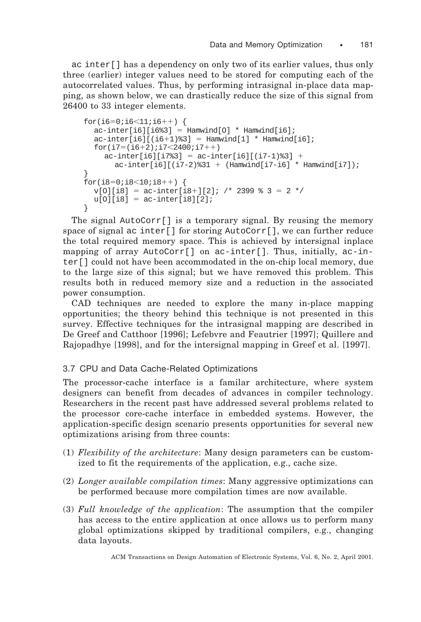ac inter[] has a dependency on only two of its earlier values, thus only three (earlier) integer values need to be stored for computing each of the autocorrelated values. Thus, by performing intrasignal in-place data mapping, as shown below, we can drastically reduce the size of this signal from 26400 to 33 integer elements.

```
for(i6=0:i6<11:i6++) {
  ac\text{-inter}[i6][i6\text{-}83] = Hamwind[0] * Hamwind[i6];
  ac-inter[i6][(i6+1)%3] = Hamwind[1] * Hamwind[i6];for(i7=(i6+2);i7<2400;i7++)ac-inter[i6][i783] = ac-inter[i6][(i7-1)83] +ac-inter[i6][(i7-2)*31 + (Hamwind[i7-i6] * Hamwind[i7]);}
for(i8=0;i8<10;i8++) {
  v[0][i8] = ac-inter[i8+][2]; /* 2399 % 3 = 2 */
  u[0][i8] = ac-inter[i8][2];}
```
The signal  $Autocorr[]$  is a temporary signal. By reusing the memory space of signal ac inter  $[]$  for storing AutoCorr $[]$ , we can further reduce the total required memory space. This is achieved by intersignal inplace mapping of array AutoCorr[] on ac-inter[]. Thus, initially, ac-inter[] could not have been accommodated in the on-chip local memory, due to the large size of this signal; but we have removed this problem. This results both in reduced memory size and a reduction in the associated power consumption.

CAD techniques are needed to explore the many in-place mapping opportunities; the theory behind this technique is not presented in this survey. Effective techniques for the intrasignal mapping are described in De Greef and Catthoor [1996]; Lefebvre and Feautrier [1997]; Quillere and Rajopadhye [1998], and for the intersignal mapping in Greef et al. [1997].

# 3.7 CPU and Data Cache-Related Optimizations

The processor-cache interface is a familar architecture, where system designers can benefit from decades of advances in compiler technology. Researchers in the recent past have addressed several problems related to the processor core-cache interface in embedded systems. However, the application-specific design scenario presents opportunities for several new optimizations arising from three counts:

- (1) *Flexibility of the architecture*: Many design parameters can be customized to fit the requirements of the application, e.g., cache size.
- (2) *Longer available compilation times*: Many aggressive optimizations can be performed because more compilation times are now available.
- (3) *Full knowledge of the application*: The assumption that the compiler has access to the entire application at once allows us to perform many global optimizations skipped by traditional compilers, e.g., changing data layouts.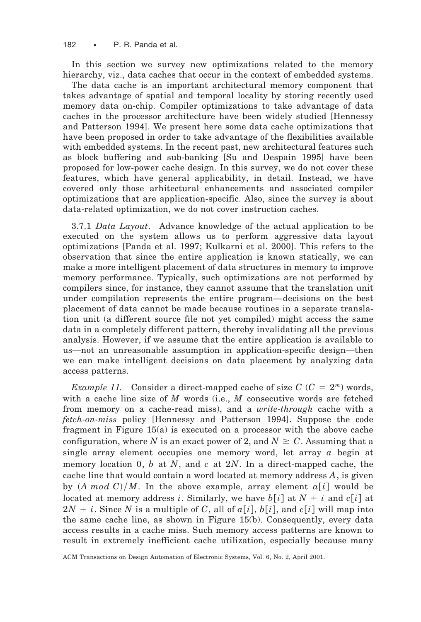182 • P. R. Panda et al.

In this section we survey new optimizations related to the memory hierarchy, viz., data caches that occur in the context of embedded systems.

The data cache is an important architectural memory component that takes advantage of spatial and temporal locality by storing recently used memory data on-chip. Compiler optimizations to take advantage of data caches in the processor architecture have been widely studied [Hennessy and Patterson 1994]. We present here some data cache optimizations that have been proposed in order to take advantage of the flexibilities available with embedded systems. In the recent past, new architectural features such as block buffering and sub-banking [Su and Despain 1995] have been proposed for low-power cache design. In this survey, we do not cover these features, which have general applicability, in detail. Instead, we have covered only those arhitectural enhancements and associated compiler optimizations that are application-specific. Also, since the survey is about data-related optimization, we do not cover instruction caches.

3.7.1 *Data Layout*. Advance knowledge of the actual application to be executed on the system allows us to perform aggressive data layout optimizations [Panda et al. 1997; Kulkarni et al. 2000]. This refers to the observation that since the entire application is known statically, we can make a more intelligent placement of data structures in memory to improve memory performance. Typically, such optimizations are not performed by compilers since, for instance, they cannot assume that the translation unit under compilation represents the entire program—decisions on the best placement of data cannot be made because routines in a separate translation unit (a different source file not yet compiled) might access the same data in a completely different pattern, thereby invalidating all the previous analysis. However, if we assume that the entire application is available to us—not an unreasonable assumption in application-specific design—then we can make intelligent decisions on data placement by analyzing data access patterns.

*Example 11.* Consider a direct-mapped cache of size  $C$  ( $C = 2<sup>m</sup>$ ) words, with a cache line size of *M* words (i.e., *M* consecutive words are fetched from memory on a cache-read miss), and a *write-through* cache with a *fetch-on-miss* policy [Hennessy and Patterson 1994]. Suppose the code fragment in Figure  $15(a)$  is executed on a processor with the above cache configuration, where N is an exact power of 2, and  $N \geq C$ . Assuming that a single array element occupies one memory word, let array *a* begin at memory location 0, *b* at *N*, and *c* at 2*N*. In a direct-mapped cache, the cache line that would contain a word located at memory address *A*, is given by  $(A \mod C)/M$ . In the above example, array element  $a[i]$  would be located at memory address *i*. Similarly, we have  $b[i]$  at  $N + i$  and  $c[i]$  at  $2N + i$ . Since *N* is a multiple of *C*, all of  $a[i]$ ,  $b[i]$ , and  $c[i]$  will map into the same cache line, as shown in Figure 15(b). Consequently, every data access results in a cache miss. Such memory access patterns are known to result in extremely inefficient cache utilization, especially because many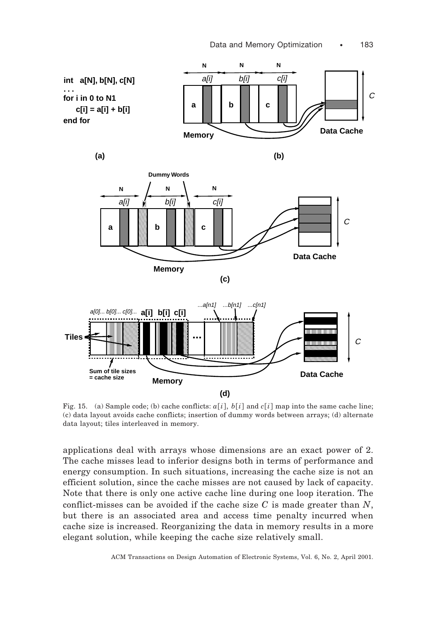

Fig. 15. (a) Sample code; (b) cache conflicts:  $a[i], b[i]$  and  $c[i]$  map into the same cache line; (c) data layout avoids cache conflicts; insertion of dummy words between arrays; (d) alternate data layout; tiles interleaved in memory.

applications deal with arrays whose dimensions are an exact power of 2. The cache misses lead to inferior designs both in terms of performance and energy consumption. In such situations, increasing the cache size is not an efficient solution, since the cache misses are not caused by lack of capacity. Note that there is only one active cache line during one loop iteration. The conflict-misses can be avoided if the cache size *C* is made greater than *N*, but there is an associated area and access time penalty incurred when cache size is increased. Reorganizing the data in memory results in a more elegant solution, while keeping the cache size relatively small.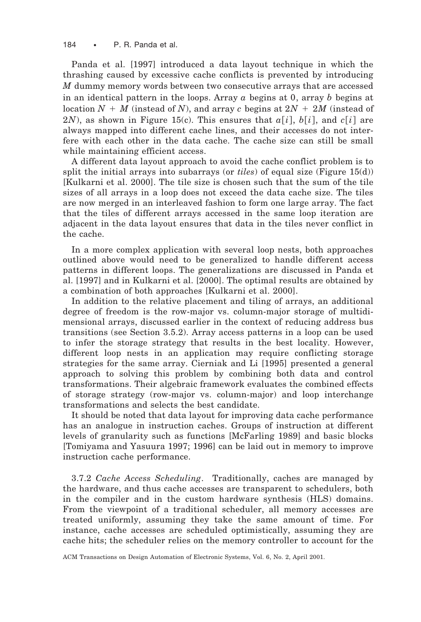184 • P. R. Panda et al.

Panda et al. [1997] introduced a data layout technique in which the thrashing caused by excessive cache conflicts is prevented by introducing *M* dummy memory words between two consecutive arrays that are accessed in an identical pattern in the loops. Array *a* begins at 0, array *b* begins at location  $N + M$  (instead of N), and array c begins at  $2N + 2M$  (instead of 2*N*), as shown in Figure 15(c). This ensures that  $a[i]$ ,  $b[i]$ , and  $c[i]$  are always mapped into different cache lines, and their accesses do not interfere with each other in the data cache. The cache size can still be small while maintaining efficient access.

A different data layout approach to avoid the cache conflict problem is to split the initial arrays into subarrays (or *tiles*) of equal size (Figure 15(d)) [Kulkarni et al. 2000]. The tile size is chosen such that the sum of the tile sizes of all arrays in a loop does not exceed the data cache size. The tiles are now merged in an interleaved fashion to form one large array. The fact that the tiles of different arrays accessed in the same loop iteration are adjacent in the data layout ensures that data in the tiles never conflict in the cache.

In a more complex application with several loop nests, both approaches outlined above would need to be generalized to handle different access patterns in different loops. The generalizations are discussed in Panda et al. [1997] and in Kulkarni et al. [2000]. The optimal results are obtained by a combination of both approaches [Kulkarni et al. 2000].

In addition to the relative placement and tiling of arrays, an additional degree of freedom is the row-major vs. column-major storage of multidimensional arrays, discussed earlier in the context of reducing address bus transitions (see Section 3.5.2). Array access patterns in a loop can be used to infer the storage strategy that results in the best locality. However, different loop nests in an application may require conflicting storage strategies for the same array. Cierniak and Li [1995] presented a general approach to solving this problem by combining both data and control transformations. Their algebraic framework evaluates the combined effects of storage strategy (row-major vs. column-major) and loop interchange transformations and selects the best candidate.

It should be noted that data layout for improving data cache performance has an analogue in instruction caches. Groups of instruction at different levels of granularity such as functions [McFarling 1989] and basic blocks [Tomiyama and Yasuura 1997; 1996] can be laid out in memory to improve instruction cache performance.

3.7.2 *Cache Access Scheduling*. Traditionally, caches are managed by the hardware, and thus cache accesses are transparent to schedulers, both in the compiler and in the custom hardware synthesis (HLS) domains. From the viewpoint of a traditional scheduler, all memory accesses are treated uniformly, assuming they take the same amount of time. For instance, cache accesses are scheduled optimistically, assuming they are cache hits; the scheduler relies on the memory controller to account for the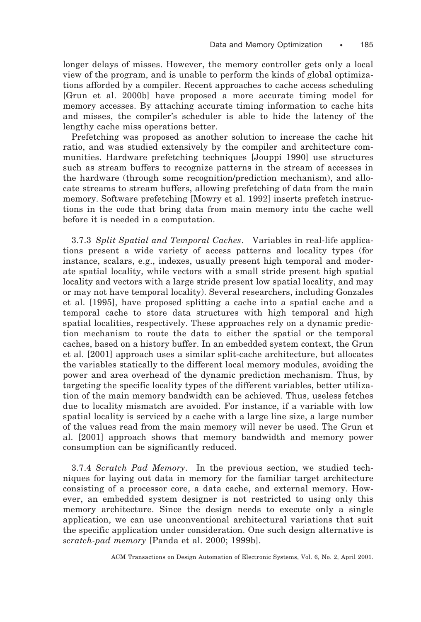longer delays of misses. However, the memory controller gets only a local view of the program, and is unable to perform the kinds of global optimizations afforded by a compiler. Recent approaches to cache access scheduling [Grun et al. 2000b] have proposed a more accurate timing model for memory accesses. By attaching accurate timing information to cache hits and misses, the compiler's scheduler is able to hide the latency of the lengthy cache miss operations better.

Prefetching was proposed as another solution to increase the cache hit ratio, and was studied extensively by the compiler and architecture communities. Hardware prefetching techniques [Jouppi 1990] use structures such as stream buffers to recognize patterns in the stream of accesses in the hardware (through some recognition/prediction mechanism), and allocate streams to stream buffers, allowing prefetching of data from the main memory. Software prefetching [Mowry et al. 1992] inserts prefetch instructions in the code that bring data from main memory into the cache well before it is needed in a computation.

3.7.3 *Split Spatial and Temporal Caches*. Variables in real-life applications present a wide variety of access patterns and locality types (for instance, scalars, e.g., indexes, usually present high temporal and moderate spatial locality, while vectors with a small stride present high spatial locality and vectors with a large stride present low spatial locality, and may or may not have temporal locality). Several researchers, including Gonzales et al. [1995], have proposed splitting a cache into a spatial cache and a temporal cache to store data structures with high temporal and high spatial localities, respectively. These approaches rely on a dynamic prediction mechanism to route the data to either the spatial or the temporal caches, based on a history buffer. In an embedded system context, the Grun et al. [2001] approach uses a similar split-cache architecture, but allocates the variables statically to the different local memory modules, avoiding the power and area overhead of the dynamic prediction mechanism. Thus, by targeting the specific locality types of the different variables, better utilization of the main memory bandwidth can be achieved. Thus, useless fetches due to locality mismatch are avoided. For instance, if a variable with low spatial locality is serviced by a cache with a large line size, a large number of the values read from the main memory will never be used. The Grun et al. [2001] approach shows that memory bandwidth and memory power consumption can be significantly reduced.

3.7.4 *Scratch Pad Memory*. In the previous section, we studied techniques for laying out data in memory for the familiar target architecture consisting of a processor core, a data cache, and external memory. However, an embedded system designer is not restricted to using only this memory architecture. Since the design needs to execute only a single application, we can use unconventional architectural variations that suit the specific application under consideration. One such design alternative is *scratch-pad memory* [Panda et al. 2000; 1999b].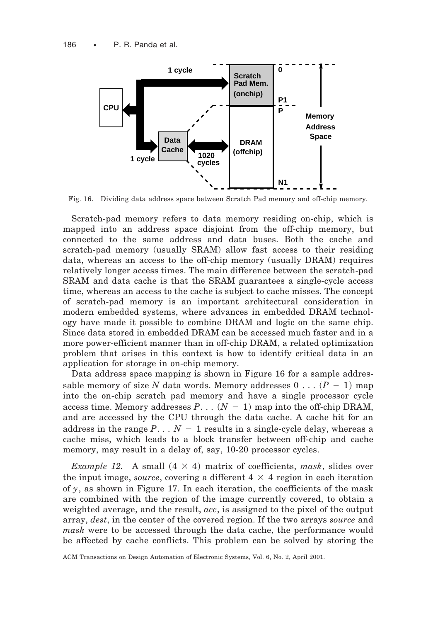

Fig. 16. Dividing data address space between Scratch Pad memory and off-chip memory.

Scratch-pad memory refers to data memory residing on-chip, which is mapped into an address space disjoint from the off-chip memory, but connected to the same address and data buses. Both the cache and scratch-pad memory (usually SRAM) allow fast access to their residing data, whereas an access to the off-chip memory (usually DRAM) requires relatively longer access times. The main difference between the scratch-pad SRAM and data cache is that the SRAM guarantees a single-cycle access time, whereas an access to the cache is subject to cache misses. The concept of scratch-pad memory is an important architectural consideration in modern embedded systems, where advances in embedded DRAM technology have made it possible to combine DRAM and logic on the same chip. Since data stored in embedded DRAM can be accessed much faster and in a more power-efficient manner than in off-chip DRAM, a related optimization problem that arises in this context is how to identify critical data in an application for storage in on-chip memory.

Data address space mapping is shown in Figure 16 for a sample addressable memory of size N data words. Memory addresses  $0 \ldots (P-1)$  map into the on-chip scratch pad memory and have a single processor cycle access time. Memory addresses  $P_{\text{max}}(N-1)$  map into the off-chip DRAM, and are accessed by the CPU through the data cache. A cache hit for an address in the range  $P \ldots N-1$  results in a single-cycle delay, whereas a cache miss, which leads to a block transfer between off-chip and cache memory, may result in a delay of, say, 10-20 processor cycles.

*Example 12.* A small  $(4 \times 4)$  matrix of coefficients, *mask*, slides over the input image, *source*, covering a different  $4 \times 4$  region in each iteration of *y*, as shown in Figure 17. In each iteration, the coefficients of the mask are combined with the region of the image currently covered, to obtain a weighted average, and the result, *acc*, is assigned to the pixel of the output array, *dest*, in the center of the covered region. If the two arrays *source* and *mask* were to be accessed through the data cache, the performance would be affected by cache conflicts. This problem can be solved by storing the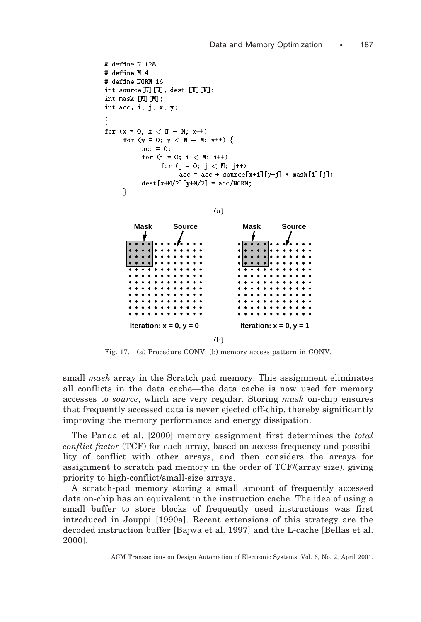```
# define N 128
# define M 4
# define NORM 16
int source[N][N], dest [N][N];
int mask [M][M];
int acc, i, j, x, y;
for (x = 0; x < N - M; x++)for (y = 0; y < N - M; y++) {
            acc = 0;
            for (i = 0; i < M; i++)for (j = 0; j < M; j++)acc = acc + source[x+i][y+i] * mask[i][i];dest[x+M/2][y+M/2] = acc/NORM;\}(a)Mask Source Mask Source 
                      \bullet\bullet\bullet\bullet\bullet\bullet\bullet\bullet\bullet\bullet\bullet\bullet\bullet\bullet\bullet\bullet\bulletIteration: x = 0, y = 0 Iteration: x = 0, y = 1
```
 $(b)$ 

Fig. 17. (a) Procedure CONV; (b) memory access pattern in CONV.

small *mask* array in the Scratch pad memory. This assignment eliminates all conflicts in the data cache—the data cache is now used for memory accesses to *source*, which are very regular. Storing *mask* on-chip ensures that frequently accessed data is never ejected off-chip, thereby significantly improving the memory performance and energy dissipation.

The Panda et al. [2000] memory assignment first determines the *total conflict factor* (TCF) for each array, based on access frequency and possibility of conflict with other arrays, and then considers the arrays for assignment to scratch pad memory in the order of TCF/(array size), giving priority to high-conflict/small-size arrays.

A scratch-pad memory storing a small amount of frequently accessed data on-chip has an equivalent in the instruction cache. The idea of using a small buffer to store blocks of frequently used instructions was first introduced in Jouppi [1990a]. Recent extensions of this strategy are the decoded instruction buffer [Bajwa et al. 1997] and the L-cache [Bellas et al. 2000].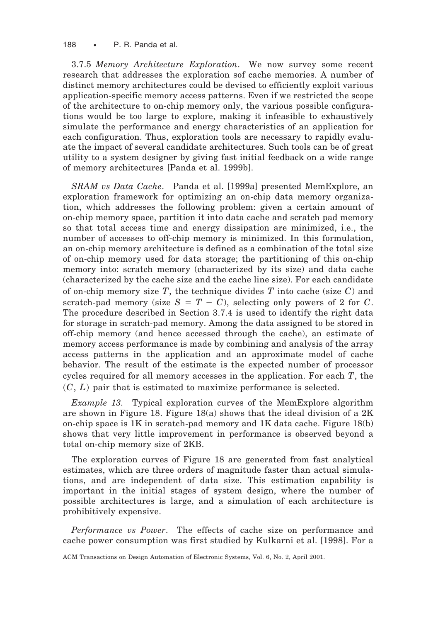#### 188 • P. R. Panda et al.

3.7.5 *Memory Architecture Exploration*. We now survey some recent research that addresses the exploration sof cache memories. A number of distinct memory architectures could be devised to efficiently exploit various application-specific memory access patterns. Even if we restricted the scope of the architecture to on-chip memory only, the various possible configurations would be too large to explore, making it infeasible to exhaustively simulate the performance and energy characteristics of an application for each configuration. Thus, exploration tools are necessary to rapidly evaluate the impact of several candidate architectures. Such tools can be of great utility to a system designer by giving fast initial feedback on a wide range of memory architectures [Panda et al. 1999b].

*SRAM vs Data Cache*. Panda et al. [1999a] presented MemExplore, an exploration framework for optimizing an on-chip data memory organization, which addresses the following problem: given a certain amount of on-chip memory space, partition it into data cache and scratch pad memory so that total access time and energy dissipation are minimized, i.e., the number of accesses to off-chip memory is minimized. In this formulation, an on-chip memory architecture is defined as a combination of the total size of on-chip memory used for data storage; the partitioning of this on-chip memory into: scratch memory (characterized by its size) and data cache (characterized by the cache size and the cache line size). For each candidate of on-chip memory size  $T$ , the technique divides  $T$  into cache (size  $C$ ) and scratch-pad memory (size  $S = T - C$ ), selecting only powers of 2 for *C*. The procedure described in Section 3.7.4 is used to identify the right data for storage in scratch-pad memory. Among the data assigned to be stored in off-chip memory (and hence accessed through the cache), an estimate of memory access performance is made by combining and analysis of the array access patterns in the application and an approximate model of cache behavior. The result of the estimate is the expected number of processor cycles required for all memory accesses in the application. For each *T*, the  $(C, L)$  pair that is estimated to maximize performance is selected.

*Example 13.* Typical exploration curves of the MemExplore algorithm are shown in Figure 18. Figure  $18(a)$  shows that the ideal division of a  $2K$ on-chip space is 1K in scratch-pad memory and 1K data cache. Figure 18(b) shows that very little improvement in performance is observed beyond a total on-chip memory size of 2KB.

The exploration curves of Figure 18 are generated from fast analytical estimates, which are three orders of magnitude faster than actual simulations, and are independent of data size. This estimation capability is important in the initial stages of system design, where the number of possible architectures is large, and a simulation of each architecture is prohibitively expensive.

*Performance vs Power*. The effects of cache size on performance and cache power consumption was first studied by Kulkarni et al. [1998]. For a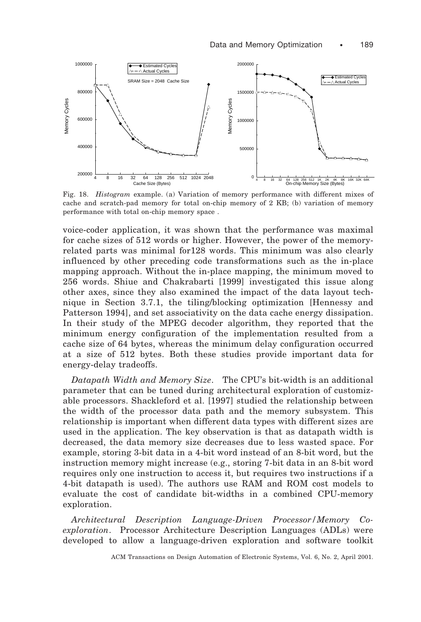

Fig. 18. *Histogram* example. (a) Variation of memory performance with different mixes of cache and scratch-pad memory for total on-chip memory of 2 KB; (b) variation of memory performance with total on-chip memory space .

voice-coder application, it was shown that the performance was maximal for cache sizes of 512 words or higher. However, the power of the memoryrelated parts was minimal for128 words. This minimum was also clearly influenced by other preceding code transformations such as the in-place mapping approach. Without the in-place mapping, the minimum moved to 256 words. Shiue and Chakrabarti [1999] investigated this issue along other axes, since they also examined the impact of the data layout technique in Section 3.7.1, the tiling/blocking optimization [Hennessy and Patterson 1994], and set associativity on the data cache energy dissipation. In their study of the MPEG decoder algorithm, they reported that the minimum energy configuration of the implementation resulted from a cache size of 64 bytes, whereas the minimum delay configuration occurred at a size of 512 bytes. Both these studies provide important data for energy-delay tradeoffs.

*Datapath Width and Memory Size*. The CPU's bit-width is an additional parameter that can be tuned during architectural exploration of customizable processors. Shackleford et al. [1997] studied the relationship between the width of the processor data path and the memory subsystem. This relationship is important when different data types with different sizes are used in the application. The key observation is that as datapath width is decreased, the data memory size decreases due to less wasted space. For example, storing 3-bit data in a 4-bit word instead of an 8-bit word, but the instruction memory might increase (e.g., storing 7-bit data in an 8-bit word requires only one instruction to access it, but requires two instructions if a 4-bit datapath is used). The authors use RAM and ROM cost models to evaluate the cost of candidate bit-widths in a combined CPU-memory exploration.

*Architectural Description Language-Driven Processor/Memory Coexploration*. Processor Architecture Description Languages (ADLs) were developed to allow a language-driven exploration and software toolkit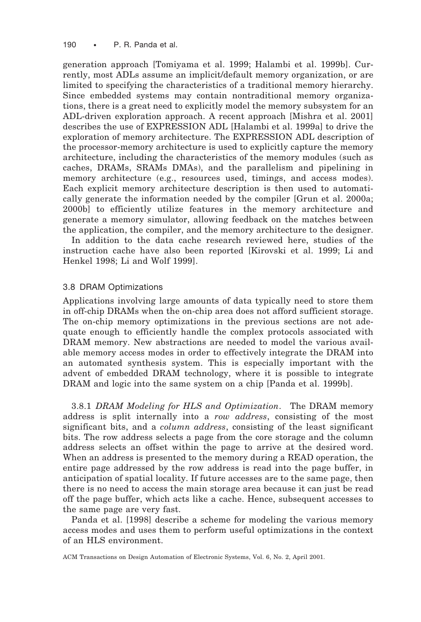generation approach [Tomiyama et al. 1999; Halambi et al. 1999b]. Currently, most ADLs assume an implicit/default memory organization, or are limited to specifying the characteristics of a traditional memory hierarchy. Since embedded systems may contain nontraditional memory organizations, there is a great need to explicitly model the memory subsystem for an ADL-driven exploration approach. A recent approach [Mishra et al. 2001] describes the use of EXPRESSION ADL [Halambi et al. 1999a] to drive the exploration of memory architecture. The EXPRESSION ADL description of the processor-memory architecture is used to explicitly capture the memory architecture, including the characteristics of the memory modules (such as caches, DRAMs, SRAMs DMAs), and the parallelism and pipelining in memory architecture (e.g., resources used, timings, and access modes). Each explicit memory architecture description is then used to automatically generate the information needed by the compiler [Grun et al. 2000a; 2000b] to efficiently utilize features in the memory architecture and generate a memory simulator, allowing feedback on the matches between the application, the compiler, and the memory architecture to the designer.

In addition to the data cache research reviewed here, studies of the instruction cache have also been reported [Kirovski et al. 1999; Li and Henkel 1998; Li and Wolf 1999].

## 3.8 DRAM Optimizations

Applications involving large amounts of data typically need to store them in off-chip DRAMs when the on-chip area does not afford sufficient storage. The on-chip memory optimizations in the previous sections are not adequate enough to efficiently handle the complex protocols associated with DRAM memory. New abstractions are needed to model the various available memory access modes in order to effectively integrate the DRAM into an automated synthesis system. This is especially important with the advent of embedded DRAM technology, where it is possible to integrate DRAM and logic into the same system on a chip [Panda et al. 1999b].

3.8.1 *DRAM Modeling for HLS and Optimization*. The DRAM memory address is split internally into a *row address*, consisting of the most significant bits, and a *column address*, consisting of the least significant bits. The row address selects a page from the core storage and the column address selects an offset within the page to arrive at the desired word. When an address is presented to the memory during a READ operation, the entire page addressed by the row address is read into the page buffer, in anticipation of spatial locality. If future accesses are to the same page, then there is no need to access the main storage area because it can just be read off the page buffer, which acts like a cache. Hence, subsequent accesses to the same page are very fast.

Panda et al. [1998] describe a scheme for modeling the various memory access modes and uses them to perform useful optimizations in the context of an HLS environment.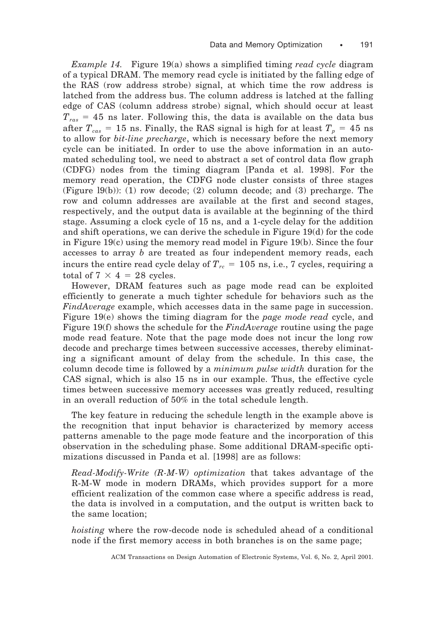*Example 14.* Figure 19(a) shows a simplified timing *read cycle* diagram of a typical DRAM. The memory read cycle is initiated by the falling edge of the RAS (row address strobe) signal, at which time the row address is latched from the address bus. The column address is latched at the falling edge of CAS (column address strobe) signal, which should occur at least  $T_{\text{ras}} = 45$  ns later. Following this, the data is available on the data bus after  $T_{cas}$  = 15 ns. Finally, the RAS signal is high for at least  $T_p$  = 45 ns to allow for *bit-line precharge*, which is necessary before the next memory cycle can be initiated. In order to use the above information in an automated scheduling tool, we need to abstract a set of control data flow graph (CDFG) nodes from the timing diagram [Panda et al. 1998]. For the memory read operation, the CDFG node cluster consists of three stages (Figure l9(b)): (1) row decode; (2) column decode; and (3) precharge. The row and column addresses are available at the first and second stages, respectively, and the output data is available at the beginning of the third stage. Assuming a clock cycle of 15 ns, and a 1-cycle delay for the addition and shift operations, we can derive the schedule in Figure 19(d) for the code in Figure 19(c) using the memory read model in Figure 19(b). Since the four accesses to array *b* are treated as four independent memory reads, each incurs the entire read cycle delay of  $T_{rc} = 105$  ns, i.e., 7 cycles, requiring a total of  $7 \times 4 = 28$  cycles.

However, DRAM features such as page mode read can be exploited efficiently to generate a much tighter schedule for behaviors such as the *FindAverage* example, which accesses data in the same page in succession. Figure 19(e) shows the timing diagram for the *page mode read* cycle, and Figure 19(f) shows the schedule for the *FindAverage* routine using the page mode read feature. Note that the page mode does not incur the long row decode and precharge times between successive accesses, thereby eliminating a significant amount of delay from the schedule. In this case, the column decode time is followed by a *minimum pulse width* duration for the CAS signal, which is also 15 ns in our example. Thus, the effective cycle times between successive memory accesses was greatly reduced, resulting in an overall reduction of 50% in the total schedule length.

The key feature in reducing the schedule length in the example above is the recognition that input behavior is characterized by memory access patterns amenable to the page mode feature and the incorporation of this observation in the scheduling phase. Some additional DRAM-specific optimizations discussed in Panda et al. [1998] are as follows:

*Read-Modify-Write (R-M-W) optimization* that takes advantage of the R-M-W mode in modern DRAMs, which provides support for a more efficient realization of the common case where a specific address is read, the data is involved in a computation, and the output is written back to the same location;

*hoisting* where the row-decode node is scheduled ahead of a conditional node if the first memory access in both branches is on the same page;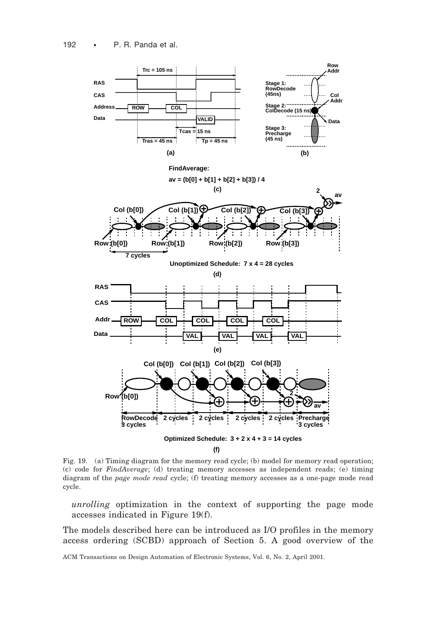

Fig. 19. (a) Timing diagram for the memory read cycle; (b) model for memory read operation; (c) code for *FindAverage*; (d) treating memory accesses as independent reads; (e) timing diagram of the *page mode read* cycle; (f) treating memory accesses as a one-page mode read cycle.

*unrolling* optimization in the context of supporting the page mode accesses indicated in Figure 19(f).

The models described here can be introduced as I/O profiles in the memory access ordering (SCBD) approach of Section 5. A good overview of the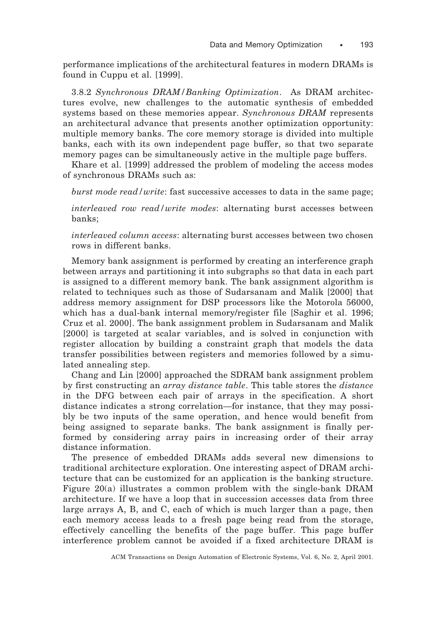performance implications of the architectural features in modern DRAMs is found in Cuppu et al. [1999].

3.8.2 *Synchronous DRAM/Banking Optimization*. As DRAM architectures evolve, new challenges to the automatic synthesis of embedded systems based on these memories appear. *Synchronous DRAM* represents an architectural advance that presents another optimization opportunity: multiple memory banks. The core memory storage is divided into multiple banks, each with its own independent page buffer, so that two separate memory pages can be simultaneously active in the multiple page buffers.

Khare et al. [1999] addressed the problem of modeling the access modes of synchronous DRAMs such as:

*burst mode read/write*: fast successive accesses to data in the same page;

*interleaved row read/write modes*: alternating burst accesses between banks;

*interleaved column access*: alternating burst accesses between two chosen rows in different banks.

Memory bank assignment is performed by creating an interference graph between arrays and partitioning it into subgraphs so that data in each part is assigned to a different memory bank. The bank assignment algorithm is related to techniques such as those of Sudarsanam and Malik [2000] that address memory assignment for DSP processors like the Motorola 56000, which has a dual-bank internal memory/register file [Saghir et al. 1996; Cruz et al. 2000]. The bank assignment problem in Sudarsanam and Malik [2000] is targeted at scalar variables, and is solved in conjunction with register allocation by building a constraint graph that models the data transfer possibilities between registers and memories followed by a simulated annealing step.

Chang and Lin [2000] approached the SDRAM bank assignment problem by first constructing an *array distance table*. This table stores the *distance* in the DFG between each pair of arrays in the specification. A short distance indicates a strong correlation—for instance, that they may possibly be two inputs of the same operation, and hence would benefit from being assigned to separate banks. The bank assignment is finally performed by considering array pairs in increasing order of their array distance information.

The presence of embedded DRAMs adds several new dimensions to traditional architecture exploration. One interesting aspect of DRAM architecture that can be customized for an application is the banking structure. Figure 20(a) illustrates a common problem with the single-bank DRAM architecture. If we have a loop that in succession accesses data from three large arrays A, B, and C, each of which is much larger than a page, then each memory access leads to a fresh page being read from the storage, effectively cancelling the benefits of the page buffer. This page buffer interference problem cannot be avoided if a fixed architecture DRAM is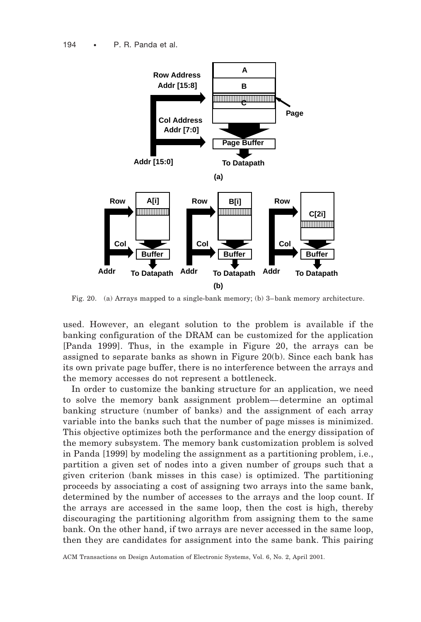

Fig. 20. (a) Arrays mapped to a single-bank memory; (b) 3–bank memory architecture.

used. However, an elegant solution to the problem is available if the banking configuration of the DRAM can be customized for the application [Panda 1999]. Thus, in the example in Figure 20, the arrays can be assigned to separate banks as shown in Figure 20(b). Since each bank has its own private page buffer, there is no interference between the arrays and the memory accesses do not represent a bottleneck.

In order to customize the banking structure for an application, we need to solve the memory bank assignment problem—determine an optimal banking structure (number of banks) and the assignment of each array variable into the banks such that the number of page misses is minimized. This objective optimizes both the performance and the energy dissipation of the memory subsystem. The memory bank customization problem is solved in Panda [1999] by modeling the assignment as a partitioning problem, i.e., partition a given set of nodes into a given number of groups such that a given criterion (bank misses in this case) is optimized. The partitioning proceeds by associating a cost of assigning two arrays into the same bank, determined by the number of accesses to the arrays and the loop count. If the arrays are accessed in the same loop, then the cost is high, thereby discouraging the partitioning algorithm from assigning them to the same bank. On the other hand, if two arrays are never accessed in the same loop, then they are candidates for assignment into the same bank. This pairing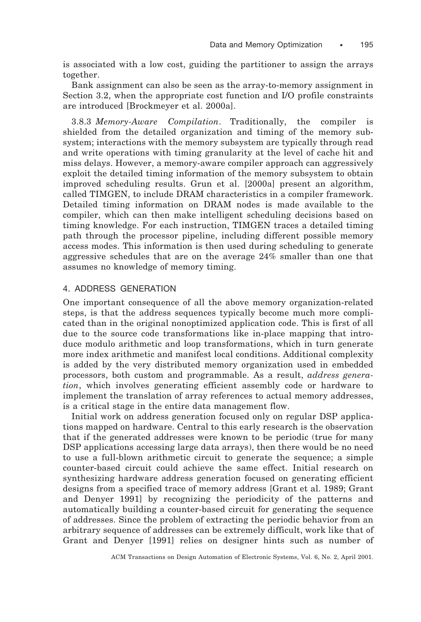is associated with a low cost, guiding the partitioner to assign the arrays together.

Bank assignment can also be seen as the array-to-memory assignment in Section 3.2, when the appropriate cost function and I/O profile constraints are introduced [Brockmeyer et al. 2000a].

3.8.3 *Memory-Aware Compilation*. Traditionally, the compiler shielded from the detailed organization and timing of the memory subsystem; interactions with the memory subsystem are typically through read and write operations with timing granularity at the level of cache hit and miss delays. However, a memory-aware compiler approach can aggressively exploit the detailed timing information of the memory subsystem to obtain improved scheduling results. Grun et al. [2000a] present an algorithm, called TIMGEN, to include DRAM characteristics in a compiler framework. Detailed timing information on DRAM nodes is made available to the compiler, which can then make intelligent scheduling decisions based on timing knowledge. For each instruction, TIMGEN traces a detailed timing path through the processor pipeline, including different possible memory access modes. This information is then used during scheduling to generate aggressive schedules that are on the average 24% smaller than one that assumes no knowledge of memory timing.

# 4. ADDRESS GENERATION

One important consequence of all the above memory organization-related steps, is that the address sequences typically become much more complicated than in the original nonoptimized application code. This is first of all due to the source code transformations like in-place mapping that introduce modulo arithmetic and loop transformations, which in turn generate more index arithmetic and manifest local conditions. Additional complexity is added by the very distributed memory organization used in embedded processors, both custom and programmable. As a result, *address generation*, which involves generating efficient assembly code or hardware to implement the translation of array references to actual memory addresses, is a critical stage in the entire data management flow.

Initial work on address generation focused only on regular DSP applications mapped on hardware. Central to this early research is the observation that if the generated addresses were known to be periodic (true for many DSP applications accessing large data arrays), then there would be no need to use a full-blown arithmetic circuit to generate the sequence; a simple counter-based circuit could achieve the same effect. Initial research on synthesizing hardware address generation focused on generating efficient designs from a specified trace of memory address [Grant et al. 1989; Grant and Denyer 1991] by recognizing the periodicity of the patterns and automatically building a counter-based circuit for generating the sequence of addresses. Since the problem of extracting the periodic behavior from an arbitrary sequence of addresses can be extremely difficult, work like that of Grant and Denyer [1991] relies on designer hints such as number of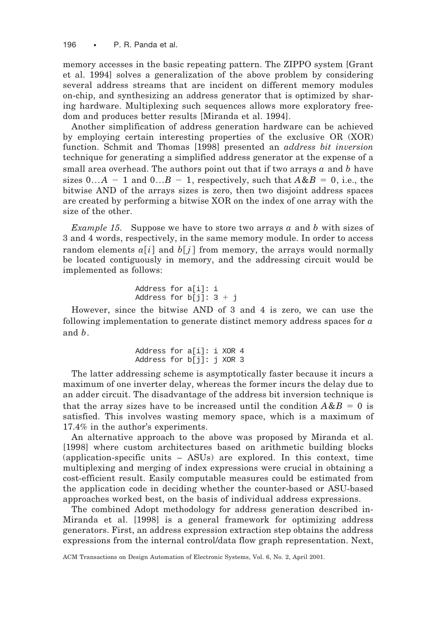memory accesses in the basic repeating pattern. The ZIPPO system [Grant et al. 1994] solves a generalization of the above problem by considering several address streams that are incident on different memory modules on-chip, and synthesizing an address generator that is optimized by sharing hardware. Multiplexing such sequences allows more exploratory freedom and produces better results [Miranda et al. 1994].

Another simplification of address generation hardware can be achieved by employing certain interesting properties of the exclusive OR (XOR) function. Schmit and Thomas [1998] presented an *address bit inversion* technique for generating a simplified address generator at the expense of a small area overhead. The authors point out that if two arrays *a* and *b* have sizes  $0...A - 1$  and  $0...B - 1$ , respectively, such that  $A \& B = 0$ , i.e., the bitwise AND of the arrays sizes is zero, then two disjoint address spaces are created by performing a bitwise XOR on the index of one array with the size of the other.

*Example 15.* Suppose we have to store two arrays *a* and *b* with sizes of 3 and 4 words, respectively, in the same memory module. In order to access random elements  $a[i]$  and  $b[i]$  from memory, the arrays would normally be located contiguously in memory, and the addressing circuit would be implemented as follows:

> Address for a[i]: i Address for  $b[j]: 3 + j$

However, since the bitwise AND of 3 and 4 is zero, we can use the following implementation to generate distinct memory address spaces for *a* and *b*.

```
Address for a[i]: i XOR 4
Address for b[j]: j XOR 3
```
The latter addressing scheme is asymptotically faster because it incurs a maximum of one inverter delay, whereas the former incurs the delay due to an adder circuit. The disadvantage of the address bit inversion technique is that the array sizes have to be increased until the condition  $A\&B = 0$  is satisfied. This involves wasting memory space, which is a maximum of 17.4% in the author's experiments.

An alternative approach to the above was proposed by Miranda et al. [1998] where custom architectures based on arithmetic building blocks (application-specific units – ASUs) are explored. In this context, time multiplexing and merging of index expressions were crucial in obtaining a cost-efficient result. Easily computable measures could be estimated from the application code in deciding whether the counter-based or ASU-based approaches worked best, on the basis of individual address expressions.

The combined Adopt methodology for address generation described in-Miranda et al. [1998] is a general framework for optimizing address generators. First, an address expression extraction step obtains the address expressions from the internal control/data flow graph representation. Next,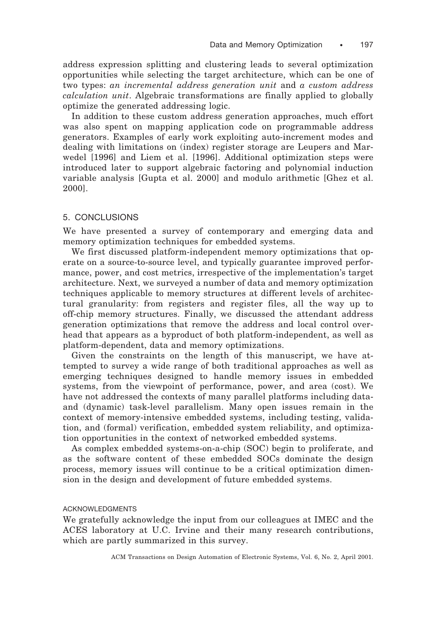address expression splitting and clustering leads to several optimization opportunities while selecting the target architecture, which can be one of two types: *an incremental address generation unit* and *a custom address calculation unit*. Algebraic transformations are finally applied to globally optimize the generated addressing logic.

In addition to these custom address generation approaches, much effort was also spent on mapping application code on programmable address generators. Examples of early work exploiting auto-increment modes and dealing with limitations on (index) register storage are Leupers and Marwedel [1996] and Liem et al. [1996]. Additional optimization steps were introduced later to support algebraic factoring and polynomial induction variable analysis [Gupta et al. 2000] and modulo arithmetic [Ghez et al. 2000].

#### 5. CONCLUSIONS

We have presented a survey of contemporary and emerging data and memory optimization techniques for embedded systems.

We first discussed platform-independent memory optimizations that operate on a source-to-source level, and typically guarantee improved performance, power, and cost metrics, irrespective of the implementation's target architecture. Next, we surveyed a number of data and memory optimization techniques applicable to memory structures at different levels of architectural granularity: from registers and register files, all the way up to off-chip memory structures. Finally, we discussed the attendant address generation optimizations that remove the address and local control overhead that appears as a byproduct of both platform-independent, as well as platform-dependent, data and memory optimizations.

Given the constraints on the length of this manuscript, we have attempted to survey a wide range of both traditional approaches as well as emerging techniques designed to handle memory issues in embedded systems, from the viewpoint of performance, power, and area (cost). We have not addressed the contexts of many parallel platforms including dataand (dynamic) task-level parallelism. Many open issues remain in the context of memory-intensive embedded systems, including testing, validation, and (formal) verification, embedded system reliability, and optimization opportunities in the context of networked embedded systems.

As complex embedded systems-on-a-chip (SOC) begin to proliferate, and as the software content of these embedded SOCs dominate the design process, memory issues will continue to be a critical optimization dimension in the design and development of future embedded systems.

#### ACKNOWLEDGMENTS

We gratefully acknowledge the input from our colleagues at IMEC and the ACES laboratory at U.C. Irvine and their many research contributions, which are partly summarized in this survey.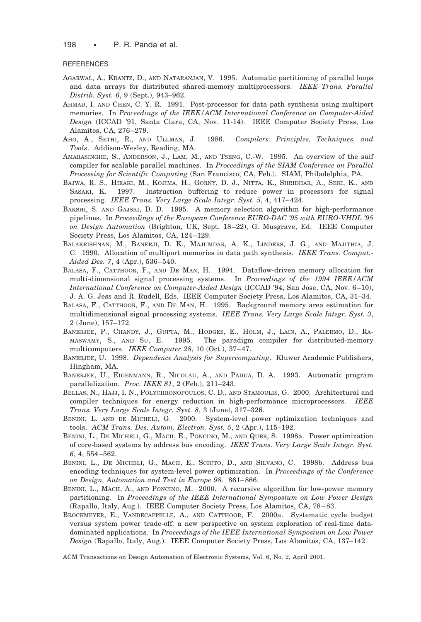198 • P. R. Panda et al.

#### REFERENCES

- AGARWAL, A., KRANTZ, D., AND NATARANJAN, V. 1995. Automatic partitioning of parallel loops and data arrays for distributed shared-memory multiprocessors. *IEEE Trans. Parallel Distrib. Syst. 6*, 9 (Sept.), 943–962.
- AHMAD, I. AND CHEN, C. Y. R. 1991. Post-processor for data path synthesis using multiport memories. In *Proceedings of the IEEE/ACM International Conference on Computer-Aided Design* (ICCAD '91, Santa Clara, CA, Nov. 11-14). IEEE Computer Society Press, Los Alamitos, CA, 276–279.
- AHO, A., SETHI, R., AND ULLMAN, J. 1986. *Compilers: Principles, Techniques, and Tools*. Addison-Wesley, Reading, MA.
- AMARASINGHE, S., ANDERSON, J., LAM, M., AND TSENG, C.-W. 1995. An overview of the suif compiler for scalable parallel machines. In *Proceedings of the SIAM Conference on Parallel Processing for Scientific Computing* (San Francisco, CA, Feb.). SIAM, Philadelphia, PA.
- BAJWA, R. S., HIRAKI, M., KOJIMA, H., GORNY, D. J., NITTA, K., SHRIDHAR, A., SEKI, K., AND SASAKI, K. 1997. Instruction buffering to reduce power in processors for signal processing. *IEEE Trans. Very Large Scale Integr. Syst. 5*, 4, 417–424.
- BAKSHI, S. AND GAJSKI, D. D. 1995. A memory selection algorithm for high-performance pipelines. In *Proceedings of the European Conference EURO-DAC '95 with EURO-VHDL '95 on Design Automation* (Brighton, UK, Sept. 18–22), G. Musgrave, Ed. IEEE Computer Society Press, Los Alamitos, CA, 124–129.
- BALAKRISHNAN, M., BANERJI, D. K., MAJUMDAR, A. K., LINDERS, J. G., AND MAJITHIA, J. C. 1990. Allocation of multiport memories in data path synthesis. *IEEE Trans. Comput.- Aided Des. 7*, 4 (Apr.), 536–540.
- BALASA, F., CATTHOOR, F., AND DE MAN, H. 1994. Dataflow-driven memory allocation for multi-dimensional signal processing systems. In *Proceedings of the 1994 IEEE/ACM International Conference on Computer-Aided Design* (ICCAD '94, San Jose, CA, Nov. 6–10), J. A. G. Jess and R. Rudell, Eds. IEEE Computer Society Press, Los Alamitos, CA, 31–34.
- BALASA, F., CATTHOOR, F., AND DE MAN, H. 1995. Background memory area estimation for multidimensional signal processing systems. *IEEE Trans. Very Large Scale Integr. Syst. 3*, 2 (June), 157–172.
- BANERJEE, P., CHANDY, J., GUPTA, M., HODGES, E., HOLM, J., LAIN, A., PALERMO, D., RA-MASWAMY, S., AND SU, E. 1995. The paradigm compiler for distributed-memory multicomputers. *IEEE Computer 28*, 10 (Oct.), 37–47.
- BANERJEE, U. 1998. *Dependence Analysis for Supercomputing*. Kluwer Academic Publishers, Hingham, MA.
- BANERJEE, U., EIGENMANN, R., NICOLAU, A., AND PADUA, D. A. 1993. Automatic program parallelization. *Proc. IEEE 81*, 2 (Feb.), 211–243.
- BELLAS, N., HAJJ, I. N., POLYCHRONOPOULOS, C. D., AND STAMOULIS, G. 2000. Architectural and compiler techniques for energy reduction in high-performance microprocessors. *IEEE Trans. Very Large Scale Integr. Syst. 8*, 3 (June), 317–326.
- BENINI, L. AND DE MICHELI, G. 2000. System-level power optimization techniques and tools. *ACM Trans. Des. Autom. Electron. Syst. 5*, 2 (Apr.), 115–192.
- BENINI, L., DE MICHELI, G., MACII, E., PONCINO, M., AND QUER, S. 1998a. Power optimization of core-based systems by address bus encoding. *IEEE Trans. Very Large Scale Integr. Syst. 6*, 4, 554–562.
- BENINI, L., DE MICHELI, G., MACII, E., SCIUTO, D., AND SILVANO, C. 1998b. Address bus encoding techniques for system-level power optimization. In *Proceedings of the Conference on Design, Automation and Test in Europe 98*. 861–866.
- BENINI, L., MACII, A., AND PONCINO, M. 2000. A recursive algorithm for low-power memory partitioning. In *Proceedings of the IEEE International Symposium on Low Power Design* (Rapallo, Italy, Aug.). IEEE Computer Society Press, Los Alamitos, CA, 78–83.
- BROCKMEYER, E., VANDECAPPELLE, A., AND CATTHOOR, F. 2000a. Systematic cycle budget versus system power trade-off: a new perspective on system exploration of real-time datadominated applications. In *Proceedings of the IEEE International Symposium on Low Power Design* (Rapallo, Italy, Aug.). IEEE Computer Society Press, Los Alamitos, CA, 137–142.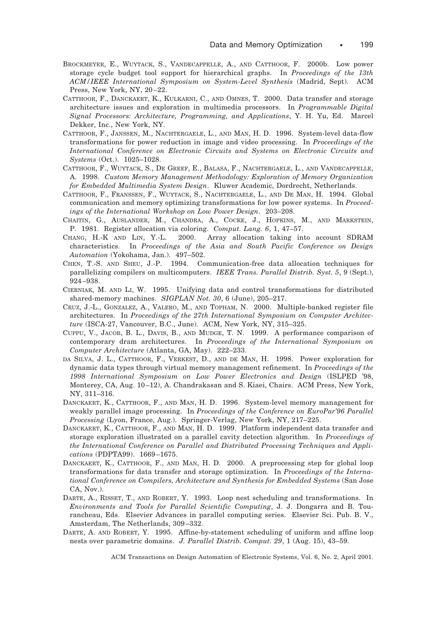- BROCKMEYER, E., WUYTACK, S., VANDECAPPELLE, A., AND CATTHOOR, F. 2000b. Low power storage cycle budget tool support for hierarchical graphs. In *Proceedings of the 13th ACM/IEEE International Symposium on System-Level Synthesis* (Madrid, Sept). ACM Press, New York, NY, 20–22.
- CATTHOOR, F., DANCKAERT, K., KULKARNI, C., AND OMNES, T. 2000. Data transfer and storage architecture issues and exploration in multimedia processors. In *Programmable Digital Signal Processors: Architecture, Programming, and Applications*, Y. H. Yu, Ed. Marcel Dekker, Inc., New York, NY.
- CATTHOOR, F., JANSSEN, M., NACHTERGAELE, L., AND MAN, H. D. 1996. System-level data-flow transformations for power reduction in image and video processing. In *Proceedings of the International Conference on Electronic Circuits and Systems on Electronic Circuits and Systems* (Oct.). 1025–1028.
- CATTHOOR, F., WUYTACK, S., DE GREEF, E., BALASA, F., NACHTERGAELE, L., AND VANDECAPPELLE, A. 1998. *Custom Memory Management Methodology: Exploration of Memory Organization for Embedded Multimedia System Design*. Kluwer Academic, Dordrecht, Netherlands.
- CATTHOOR, F., FRANSSEN, F., WUYTACK, S., NACHTERGAELE, L., AND DE MAN, H. 1994. Global communication and memory optimizing transformations for low power systems. In *Proceedings of the International Workshop on Low Power Design*. 203–208.
- CHAITIN, G., AUSLANDER, M., CHANDRA, A., COCKE, J., HOPKINS, M., AND MARKSTEIN, P. 1981. Register allocation via coloring. *Comput. Lang. 6*, 1, 47–57.
- CHANG, H.-K AND LIN, Y.-L. 2000. Array allocation taking into account SDRAM characteristics. In *Proceedings of the Asia and South Pacific Conference on Design Automation* (Yokohama, Jan.). 497–502.
- CHEN, T.-S. AND SHEU, J.-P. 1994. Communication-free data allocation techniques for parallelizing compilers on multicomputers. *IEEE Trans. Parallel Distrib. Syst. 5*, 9 (Sept.), 924–938.
- CIERNIAK, M. AND LI, W. 1995. Unifying data and control transformations for distributed shared-memory machines. *SIGPLAN Not. 30*, 6 (June), 205–217.
- CRUZ, J.-L., GONZALEZ, A., VALERO, M., AND TOPHAM, N. 2000. Multiple-banked register file architectures. In *Proceedings of the 27th International Symposium on Computer Architecture* (ISCA-27, Vancouver, B.C., June). ACM, New York, NY, 315–325.
- CUPPU, V., JACOB, B. L., DAVIS, B., AND MUDGE, T. N. 1999. A performance comparison of contemporary dram architectures. In *Proceedings of the International Symposium on Computer Architecture* (Atlanta, GA, May). 222–233.
- DA SILVA, J. L., CATTHOOR, F., VERKEST, D., AND DE MAN, H. 1998. Power exploration for dynamic data types through virtual memory management refinement. In *Proceedings of the 1998 International Symposium on Low Power Electronics and Design* (ISLPED '98, Monterey, CA, Aug. 10–12), A. Chandrakasan and S. Kiaei, Chairs. ACM Press, New York, NY, 311–316.
- DANCKAERT, K., CATTHOOR, F., AND MAN, H. D. 1996. System-level memory management for weakly parallel image processing. In *Proceedings of the Conference on EuroPar'96 Parallel Processing* (Lyon, France, Aug.). Springer-Verlag, New York, NY, 217–225.
- DANCKAERT, K., CATTHOOR, F., AND MAN, H. D. 1999. Platform independent data transfer and storage exploration illustrated on a parallel cavity detection algorithm. In *Proceedings of the International Conference on Parallel and Distributed Processing Techniques and Applications* (PDPTA99). 1669–1675.
- DANCKAERT, K., CATTHOOR, F., AND MAN, H. D. 2000. A preprocessing step for global loop transformations for data transfer and storage optimization. In *Proceedings of the International Conference on Compilers, Architecture and Synthesis for Embedded Systems* (San Jose CA, Nov.).
- DARTE, A., RISSET, T., AND ROBERT, Y. 1993. Loop nest scheduling and transformations. In *Environments and Tools for Parallel Scientific Computing*, J. J. Dongarra and B. Tourancheau, Eds. Elsevier Advances in parallel computing series. Elsevier Sci. Pub. B. V., Amsterdam, The Netherlands, 309–332.
- DARTE, A. AND ROBERT, Y. 1995. Affine-by-statement scheduling of uniform and affine loop nests over parametric domains. *J. Parallel Distrib. Comput. 29*, 1 (Aug. 15), 43–59.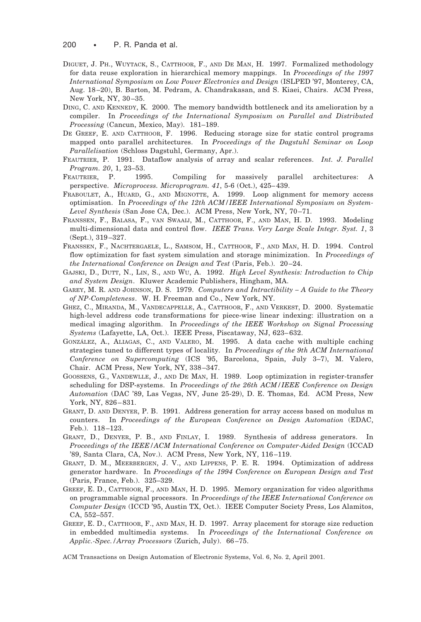- DIGUET, J. PH., WUYTACK, S., CATTHOOR, F., AND DE MAN, H. 1997. Formalized methodology for data reuse exploration in hierarchical memory mappings. In *Proceedings of the 1997 International Symposium on Low Power Electronics and Design* (ISLPED '97, Monterey, CA, Aug. 18–20), B. Barton, M. Pedram, A. Chandrakasan, and S. Kiaei, Chairs. ACM Press, New York, NY, 30–35.
- DING, C. AND KENNEDY, K. 2000. The memory bandwidth bottleneck and its amelioration by a compiler. In *Proceedings of the International Symposium on Parallel and Distributed Processing* (Cancun, Mexico, May). 181–189.
- DE GREEF, E. AND CATTHOOR, F. 1996. Reducing storage size for static control programs mapped onto parallel architectures. In *Proceedings of the Dagstuhl Seminar on Loop Parallelisation* (Schloss Dagstuhl, Germany, Apr.).
- FEAUTRIER, P. 1991. Dataflow analysis of array and scalar references. *Int. J. Parallel Program. 20*, 1, 23–53.
- FEAUTRIER, P. 1995. Compiling for massively parallel architectures: A perspective. *Microprocess. Microprogram. 41*, 5-6 (Oct.), 425–439.
- FRABOULET, A., HUARD, G., AND MIGNOTTE, A. 1999. Loop alignment for memory access optimisation. In *Proceedings of the 12th ACM/IEEE International Symposium on System-Level Synthesis* (San Jose CA, Dec.). ACM Press, New York, NY, 70–71.
- FRANSSEN, F., BALASA, F., VAN SWAAIJ, M., CATTHOOR, F., AND MAN, H. D. 1993. Modeling multi-dimensional data and control flow. *IEEE Trans. Very Large Scale Integr. Syst. 1*, 3 (Sept.), 319–327.
- FRANSSEN, F., NACHTERGAELE, L., SAMSOM, H., CATTHOOR, F., AND MAN, H. D. 1994. Control flow optimization for fast system simulation and storage minimization. In *Proceedings of the International Conference on Design and Test* (Paris, Feb.). 20–24.
- GAJSKI, D., DUTT, N., LIN, S., AND WU, A. 1992. *High Level Synthesis: Introduction to Chip and System Design*. Kluwer Academic Publishers, Hingham, MA.
- GAREY, M. R. AND JOHNSON, D. S. 1979. *Computers and Intractibility A Guide to the Theory of NP-Completeness*. W. H. Freeman and Co., New York, NY.
- GHEZ, C., MIRANDA, M., VANDECAPPELLE, A., CATTHOOR, F., AND VERKEST, D. 2000. Systematic high-level address code transformations for piece-wise linear indexing: illustration on a medical imaging algorithm. In *Proceedings of the IEEE Workshop on Signal Processing Systems* (Lafayette, LA, Oct.). IEEE Press, Piscataway, NJ, 623–632.
- GONZÁLEZ, A., ALIAGAS, C., AND VALERO, M. 1995. A data cache with multiple caching strategies tuned to different types of locality. In *Proceedings of the 9th ACM International Conference on Supercomputing* (ICS '95, Barcelona, Spain, July 3–7), M. Valero, Chair. ACM Press, New York, NY, 338–347.
- GOOSSENS, G., VANDEWLLE, J., AND DE MAN, H. 1989. Loop optimization in register-transfer scheduling for DSP-systems. In *Proceedings of the 26th ACM/IEEE Conference on Design Automation* (DAC '89, Las Vegas, NV, June 25-29), D. E. Thomas, Ed. ACM Press, New York, NY, 826–831.
- GRANT, D. AND DENYER, P. B. 1991. Address generation for array access based on modulus m counters. In *Proceedings of the European Conference on Design Automation* (EDAC, Feb.). 118–123.
- GRANT, D., DENYER, P. B., AND FINLAY, I. 1989. Synthesis of address generators. In *Proceedings of the IEEE/ACM International Conference on Computer-Aided Design* (ICCAD '89, Santa Clara, CA, Nov.). ACM Press, New York, NY, 116–119.
- GRANT, D. M., MEERBERGEN, J. V., AND LIPPENS, P. E. R. 1994. Optimization of address generator hardware. In *Proceedings of the 1994 Conference on European Design and Test* (Paris, France, Feb.). 325–329.
- GREEF, E. D., CATTHOOR, F., AND MAN, H. D. 1995. Memory organization for video algorithms on programmable signal processors. In *Proceedings of the IEEE International Conference on Computer Design* (ICCD '95, Austin TX, Oct.). IEEE Computer Society Press, Los Alamitos, CA, 552–557.
- GREEF, E. D., CATTHOOR, F., AND MAN, H. D. 1997. Array placement for storage size reduction in embedded multimedia systems. In *Proceedings of the International Conference on Applic.-Spec./Array Processors* (Zurich, July). 66–75.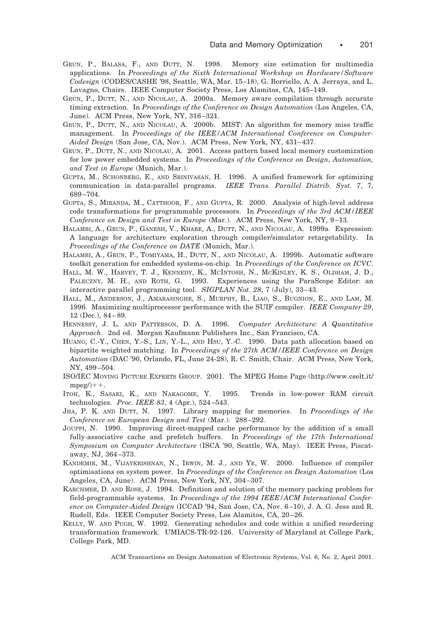- GRUN, P., BALASA, F., AND DUTT, N. 1998. Memory size estimation for multimedia applications. In *Proceedings of the Sixth International Workshop on Hardware/Software Codesign* (CODES/CASHE '98, Seattle, WA, Mar. 15–18), G. Borriello, A. A. Jerraya, and L. Lavagno, Chairs. IEEE Computer Society Press, Los Alamitos, CA, 145–149.
- GRUN, P., DUTT, N., AND NICOLAU, A. 2000a. Memory aware compilation through accurate timing extraction. In *Proceedings of the Conference on Design Automation* (Los Angeles, CA, June). ACM Press, New York, NY, 316–321.
- GRUN, P., DUTT, N., AND NICOLAU, A. 2000b. MIST: An algorithm for memory miss traffic management. In *Proceedings of the IEEE/ACM International Conference on Computer-Aided Design* (San Jose, CA, Nov.). ACM Press, New York, NY, 431–437.
- GRUN, P., DUTT, N., AND NICOLAU, A. 2001. Access pattern based local memory customization for low power embedded systems. In *Proceedings of the Conference on Design, Automation, and Test in Europe* (Munich, Mar.).
- GUPTA, M., SCHONBERG, E., AND SRINIVASAN, H. 1996. A unified framework for optimizing communication in data-parallel programs. *IEEE Trans. Parallel Distrib. Syst. 7*, 7, 689–704.
- GUPTA, S., MIRANDA, M., CATTHOOR, F., AND GUPTA, R. 2000. Analysis of high-level address code transformations for programmable processors. In *Proceedings of the 3rd ACM/IEEE Conference on Design and Test in Europe* (Mar.). ACM Press, New York, NY, 9–13.
- HALAMBI, A., GRUN, P., GANESH, V., KHARE, A., DUTT, N., AND NICOLAU, A. 1999a. Expression: A language for architecture exploration through compiler/simulator retargetability. In *Proceedings of the Conference on DATE* (Munich, Mar.).
- HALAMBI, A., GRUN, P., TOMIYAMA, H., DUTT, N., AND NICOLAU, A. 1999b. Automatic software toolkit generation for embedded systems-on-chip. In *Proceedings of the Conference on ICVC*.
- HALL, M. W., HARVEY, T. J., KENNEDY, K., MCINTOSH, N., MCKINLEY, K. S., OLDHAM, J. D., PALECZNY, M. H., AND ROTH, G. 1993. Experiences using the ParaScope Editor: an interactive parallel programming tool. *SIGPLAN Not. 28*, 7 (July), 33–43.
- HALL, M., ANDERSON, J., AMARASINGHE, S., MURPHY, B., LIAO, S., BUGNION, E., AND LAM, M. 1996. Maximizing multiprocessor performance with the SUIF compiler. *IEEE Computer 29*, 12 (Dec.), 84–89.
- HENNESSY, J. L. AND PATTERSON, D. A. 1996. *Computer Architecture: A Quantitative Approach*. 2nd ed. Morgan Kaufmann Publishers Inc., San Francisco, CA.
- HUANG, C.-Y., CHEN, Y.-S., LIN, Y.-L., AND HSU, Y.-C. 1990. Data path allocation based on bipartite weighted matching. In *Proceedings of the 27th ACM/IEEE Conference on Design Automation* (DAC '90, Orlando, FL, June 24-28), R. C. Smith, Chair. ACM Press, New York, NY, 499–504.
- ISO/IEC MOVING PICTURE EXPERTS GROUP. 2001. The MPEG Home Page (http://www.cselt.it/  $mpeg$ /)++.
- ITOH, K., SASAKI, K., AND NAKAGOME, Y. 1995. Trends in low-power RAM circuit technologies. *Proc. IEEE 83*, 4 (Apr.), 524–543.
- JHA, P. K. AND DUTT, N. 1997. Library mapping for memories. In *Proceedings of the Conference on European Design and Test* (Mar.). 288–292.
- JOUPPI, N. 1990. Improving direct-mapped cache performance by the addition of a small fully-associative cache and prefetch buffers. In *Proceedings of the 17th International Symposium on Computer Architecture* (ISCA '90, Seattle, WA, May). IEEE Press, Piscataway, NJ, 364–373.
- KANDEMIR, M., VIJAYKRISHNAN, N., IRWIN, M. J., AND YE, W. 2000. Influence of compiler optimisations on system power. In *Proceedings of the Conference on Design Automation* (Los Angeles, CA, June). ACM Press, New York, NY, 304–307.
- KARCHMER, D. AND ROSE, J. 1994. Definition and solution of the memory packing problem for field-programmable systems. In *Proceedings of the 1994 IEEE/ACM International Conference on Computer-Aided Design* (ICCAD '94, San Jose, CA, Nov. 6–10), J. A. G. Jess and R. Rudell, Eds. IEEE Computer Society Press, Los Alamitos, CA, 20–26.
- KELLY, W. AND PUGH, W. 1992. Generating schedules and code within a unified reordering transformation framework. UMIACS-TR-92-126. University of Maryland at College Park, College Park, MD.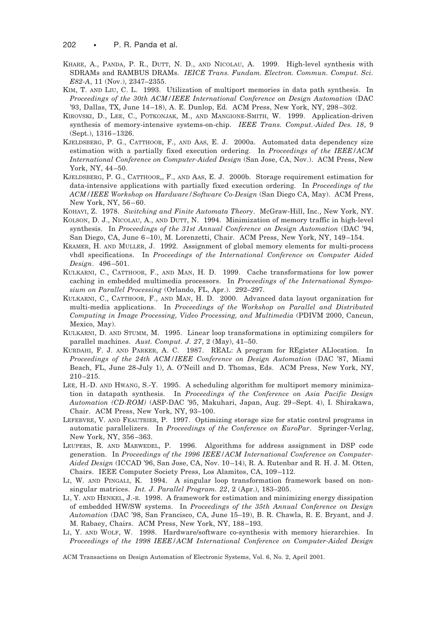- KHARE, A., PANDA, P. R., DUTT, N. D., AND NICOLAU, A. 1999. High-level synthesis with SDRAMs and RAMBUS DRAMs. *IEICE Trans. Fundam. Electron. Commun. Comput. Sci. E82-A*, 11 (Nov.), 2347–2355.
- KIM, T. AND LIU, C. L. 1993. Utilization of multiport memories in data path synthesis. In *Proceedings of the 30th ACM/IEEE International Conference on Design Automation* (DAC '93, Dallas, TX, June 14–18), A. E. Dunlop, Ed. ACM Press, New York, NY, 298–302.
- KIROVSKI, D., LEE, C., POTKONJAK, M., AND MANGIONE-SMITH, W. 1999. Application-driven synthesis of memory-intensive systems-on-chip. *IEEE Trans. Comput.-Aided Des. 18*, 9 (Sept.), 1316–1326.
- KJELDSBERG, P. G., CATTHOOR, F., AND AAS, E. J. 2000a. Automated data dependency size estimation with a partially fixed execution ordering. In *Proceedings of the IEEE/ACM International Conference on Computer-Aided Design* (San Jose, CA, Nov.). ACM Press, New York, NY, 44–50.
- KJELDSBERG, P. G., CATTHOOR,, F., AND AAS, E. J. 2000b. Storage requirement estimation for data-intensive applications with partially fixed execution ordering. In *Proceedings of the ACM/IEEE Workshop on Hardware/Software Co-Design* (San Diego CA, May). ACM Press, New York, NY, 56–60.
- KOHAVI, Z. 1978. *Switching and Finite Automata Theory*. McGraw-Hill, Inc., New York, NY.
- KOLSON, D. J., NICOLAU, A., AND DUTT, N. 1994. Minimization of memory traffic in high-level synthesis. In *Proceedings of the 31st Annual Conference on Design Automation* (DAC '94, San Diego, CA, June 6–10), M. Lorenzetti, Chair. ACM Press, New York, NY, 149–154.
- KRAMER, H. AND MULLER, J. 1992. Assignment of global memory elements for multi-process vhdl specifications. In *Proceedings of the International Conference on Computer Aided Design*. 496–501.
- KULKARNI, C., CATTHOOR, F., AND MAN, H. D. 1999. Cache transformations for low power caching in embedded multimedia processors. In *Proceedings of the International Symposium on Parallel Processing* (Orlando, FL, Apr.). 292–297.
- KULKARNI, C., CATTHOOR, F., AND MAN, H. D. 2000. Advanced data layout organization for multi-media applications. In *Proceedings of the Workshop on Parallel and Distributed Computing in Image Processing, Video Processing, and Multimedia* (PDIVM 2000, Cancun, Mexico, May).
- KULKARNI, D. AND STUMM, M. 1995. Linear loop transformations in optimizing compilers for parallel machines. *Aust. Comput. J. 27*, 2 (May), 41–50.
- KURDAHI, F. J. AND PARKER, A. C. 1987. REAL: A program for REgister ALlocation. In *Proceedings of the 24th ACM/IEEE Conference on Design Automation* (DAC '87, Miami Beach, FL, June 28-July 1), A. O'Neill and D. Thomas, Eds. ACM Press, New York, NY, 210–215.
- LEE, H.-D. AND HWANG, S.-Y. 1995. A scheduling algorithm for multiport memory minimization in datapath synthesis. In *Proceedings of the Conference on Asia Pacific Design Automation (CD-ROM)* (ASP-DAC '95, Makuhari, Japan, Aug. 29–Sept. 4), I. Shirakawa, Chair. ACM Press, New York, NY, 93–100.
- LEFEBVRE, V. AND FEAUTRIER, P. 1997. Optimizing storage size for static control programs in automatic parallelizers. In *Proceedings of the Conference on EuroPar*. Springer-Verlag, New York, NY, 356–363.
- LEUPERS, R. AND MARWEDEL, P. 1996. Algorithms for address assignment in DSP code generation. In *Proceedings of the 1996 IEEE/ACM International Conference on Computer-Aided Design* (ICCAD '96, San Jose, CA, Nov. 10–14), R. A. Rutenbar and R. H. J. M. Otten, Chairs. IEEE Computer Society Press, Los Alamitos, CA, 109–112.
- LI, W. AND PINGALI, K. 1994. A singular loop transformation framework based on nonsingular matrices. *Int. J. Parallel Program. 22*, 2 (Apr.), 183–205.
- LI, Y. AND HENKEL, J.-R. 1998. A framework for estimation and minimizing energy dissipation of embedded HW/SW systems. In *Proceedings of the 35th Annual Conference on Design Automation* (DAC '98, San Francisco, CA, June 15–19), B. R. Chawla, R. E. Bryant, and J. M. Rabaey, Chairs. ACM Press, New York, NY, 188–193.
- LI, Y. AND WOLF, W. 1998. Hardware/software co-synthesis with memory hierarchies. In *Proceedings of the 1998 IEEE/ACM International Conference on Computer-Aided Design*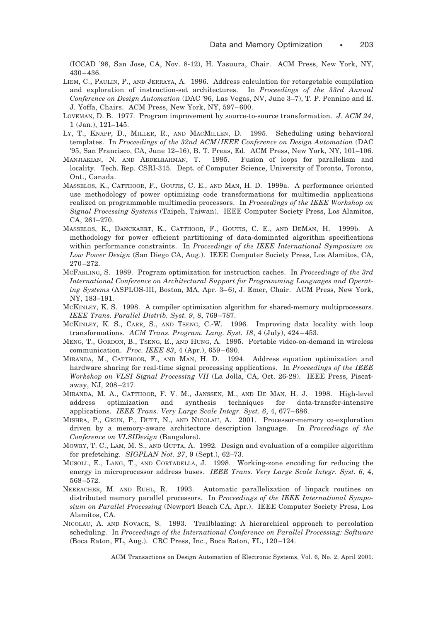(ICCAD '98, San Jose, CA, Nov. 8-12), H. Yasuura, Chair. ACM Press, New York, NY, 430–436.

- LIEM, C., PAULIN, P., AND JERRAYA, A. 1996. Address calculation for retargetable compilation and exploration of instruction-set architectures. In *Proceedings of the 33rd Annual Conference on Design Automation* (DAC '96, Las Vegas, NV, June 3–7), T. P. Pennino and E. J. Yoffa, Chairs. ACM Press, New York, NY, 597–600.
- LOVEMAN, D. B. 1977. Program improvement by source-to-source transformation. *J. ACM 24*, 1 (Jan.), 121–145.
- LY, T., KNAPP, D., MILLER, R., AND MACMILLEN, D. 1995. Scheduling using behavioral templates. In *Proceedings of the 32nd ACM/IEEE Conference on Design Automation* (DAC '95, San Francisco, CA, June 12–16), B. T. Preas, Ed. ACM Press, New York, NY, 101–106.
- MANJIAKIAN, N. AND ABDELRAHMAN, T. 1995. Fusion of loops for parallelism and locality. Tech. Rep. CSRI-315. Dept. of Computer Science, University of Toronto, Toronto, Ont., Canada.
- MASSELOS, K., CATTHOOR, F., GOUTIS, C. E., AND MAN, H. D. 1999a. A performance oriented use methodology of power optimizing code transformations for multimedia applications realized on programmable multimedia processors. In *Proceedings of the IEEE Workshop on Signal Processing Systems* (Taipeh, Taiwan). IEEE Computer Society Press, Los Alamitos, CA, 261–270.
- MASSELOS, K., DANCKAERT, K., CATTHOOR, F., GOUTIS, C. E., AND DEMAN, H. 1999b. A methodology for power efficient partitioning of data-dominated algorithm specifications within performance constraints. In *Proceedings of the IEEE International Symposium on Low Power Design* (San Diego CA, Aug.). IEEE Computer Society Press, Los Alamitos, CA, 270–272.
- MCFARLING, S. 1989. Program optimization for instruction caches. In *Proceedings of the 3rd International Conference on Architectural Support for Programming Languages and Operating Systems* (ASPLOS-III, Boston, MA, Apr. 3–6), J. Emer, Chair. ACM Press, New York, NY, 183–191.
- MCKINLEY, K. S. 1998. A compiler optimization algorithm for shared-memory multiprocessors. *IEEE Trans. Parallel Distrib. Syst. 9*, 8, 769–787.
- MCKINLEY, K. S., CARR, S., AND TSENG, C.-W. 1996. Improving data locality with loop transformations. *ACM Trans. Program. Lang. Syst. 18*, 4 (July), 424–453.
- MENG, T., GORDON, B., TSENG, E., AND HUNG, A. 1995. Portable video-on-demand in wireless communication. *Proc. IEEE 83*, 4 (Apr.), 659–690.
- MIRANDA, M., CATTHOOR, F., AND MAN, H. D. 1994. Address equation optimization and hardware sharing for real-time signal processing applications. In *Proceedings of the IEEE Workshop on VLSI Signal Processing VII* (La Jolla, CA, Oct. 26-28). IEEE Press, Piscataway, NJ, 208–217.
- MIRANDA, M. A., CATTHOOR, F. V. M., JANSSEN, M., AND DE MAN, H. J. 1998. High-level address optimization and synthesis techniques for data-transfer-intensive applications. *IEEE Trans. Very Large Scale Integr. Syst. 6*, 4, 677–686.
- MISHRA, P., GRUN, P., DUTT, N., AND NICOLAU, A. 2001. Processor-memory co-exploration driven by a memory-aware architecture description language. In *Proceedings of the Conference on VLSIDesign* (Bangalore).
- MOWRY, T. C., LAM, M. S., AND GUPTA, A. 1992. Design and evaluation of a compiler algorithm for prefetching. *SIGPLAN Not. 27*, 9 (Sept.), 62–73.
- MUSOLL, E., LANG, T., AND CORTADELLA, J. 1998. Working-zone encoding for reducing the energy in microprocessor address buses. *IEEE Trans. Very Large Scale Integr. Syst. 6*, 4, 568–572.
- NEERACHER, M. AND RUHL, R. 1993. Automatic parallelization of linpack routines on distributed memory parallel processors. In *Proceedings of the IEEE International Symposium on Parallel Processing* (Newport Beach CA, Apr.). IEEE Computer Society Press, Los Alamitos, CA.
- NICOLAU, A. AND NOVACK, S. 1993. Trailblazing: A hierarchical approach to percolation scheduling. In *Proceedings of the International Conference on Parallel Processing: Software* (Boca Raton, FL, Aug.). CRC Press, Inc., Boca Raton, FL, 120–124.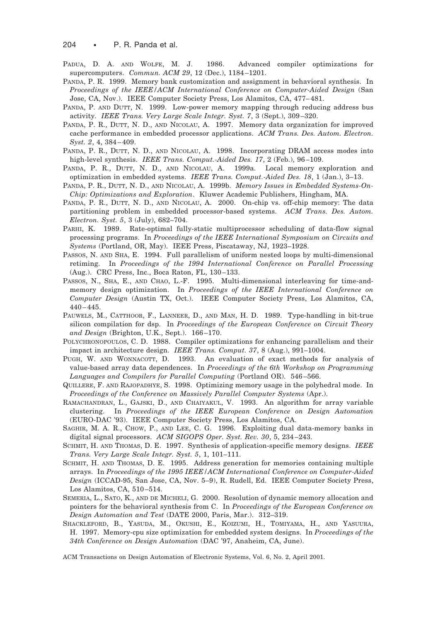204 • P. R. Panda et al.

- PADUA, D. A. AND WOLFE, M. J. 1986. Advanced compiler optimizations for supercomputers. *Commun. ACM 29*, 12 (Dec.), 1184–1201.
- PANDA, P. R. 1999. Memory bank customization and assignment in behavioral synthesis. In *Proceedings of the IEEE/ACM International Conference on Computer-Aided Design* (San Jose, CA, Nov.). IEEE Computer Society Press, Los Alamitos, CA, 477–481.
- PANDA, P. AND DUTT, N. 1999. Low-power memory mapping through reducing address bus activity. *IEEE Trans. Very Large Scale Integr. Syst. 7*, 3 (Sept.), 309–320.
- PANDA, P. R., DUTT, N. D., AND NICOLAU, A. 1997. Memory data organization for improved cache performance in embedded processor applications. *ACM Trans. Des. Autom. Electron. Syst. 2*, 4, 384–409.
- PANDA, P. R., DUTT, N. D., AND NICOLAU, A. 1998. Incorporating DRAM access modes into high-level synthesis. *IEEE Trans. Comput.-Aided Des. 17*, 2 (Feb.), 96–109.
- PANDA, P. R., DUTT, N. D., AND NICOLAU, A. 1999a. Local memory exploration and optimization in embedded systems. *IEEE Trans. Comput.-Aided Des. 18*, 1 (Jan.), 3–13.
- PANDA, P. R., DUTT, N. D., AND NICOLAU, A. 1999b. *Memory Issues in Embedded Systems-On-Chip: Optimizations and Exploration*. Kluwer Academic Publishers, Hingham, MA.
- PANDA, P. R., DUTT, N. D., AND NICOLAU, A. 2000. On-chip vs. off-chip memory: The data partitioning problem in embedded processor-based systems. *ACM Trans. Des. Autom. Electron. Syst. 5*, 3 (July), 682–704.
- PARHI, K. 1989. Rate-optimal fully-static multiprocessor scheduling of data-flow signal processing programs. In *Proceedings of the IEEE International Symposium on Circuits and Systems* (Portland, OR, May). IEEE Press, Piscataway, NJ, 1923–1928.
- PASSOS, N. AND SHA, E. 1994. Full parallelism of uniform nested loops by multi-dimensional retiming. In *Proceedings of the 1994 International Conference on Parallel Processing* (Aug.). CRC Press, Inc., Boca Raton, FL, 130–133.
- PASSOS, N., SHA, E., AND CHAO, L.-F. 1995. Multi-dimensional interleaving for time-andmemory design optimization. In *Proceedings of the IEEE International Conference on Computer Design* (Austin TX, Oct.). IEEE Computer Society Press, Los Alamitos, CA, 440–445.
- PAUWELS, M., CATTHOOR, F., LANNEER, D., AND MAN, H. D. 1989. Type-handling in bit-true silicon compilation for dsp. In *Proceedings of the European Conference on Circuit Theory and Design* (Brighton, U.K., Sept.). 166–170.
- POLYCHRONOPOULOS, C. D. 1988. Compiler optimizations for enhancing parallelism and their impact in architecture design. *IEEE Trans. Comput. 37*, 8 (Aug.), 991–1004.
- PUGH, W. AND WONNACOTT, D. 1993. An evaluation of exact methods for analysis of value-based array data dependences. In *Proceedings of the 6th Workshop on Programming Languages and Compilers for Parallel Computing* (Portland OR). 546–566.
- QUILLERE, F. AND RAJOPADHYE, S. 1998. Optimizing memory usage in the polyhedral mode. In *Proceedings of the Conference on Massively Parallel Computer Systems* (Apr.).
- RAMACHANDRAN, L., GAJSKI, D., AND CHAIYAKUL, V. 1993. An algorithm for array variable clustering. In *Proceedings of the IEEE European Conference on Design Automation* (EURO-DAC '93). IEEE Computer Society Press, Los Alamitos, CA.
- SAGHIR, M. A. R., CHOW, P., AND LEE, C. G. 1996. Exploiting dual data-memory banks in digital signal processors. *ACM SIGOPS Oper. Syst. Rev. 30*, 5, 234–243.
- SCHMIT, H. AND THOMAS, D. E. 1997. Synthesis of application-specific memory designs. *IEEE Trans. Very Large Scale Integr. Syst. 5*, 1, 101–111.
- SCHMIT, H. AND THOMAS, D. E. 1995. Address generation for memories containing multiple arrays. In *Proceedings of the 1995 IEEE/ACM International Conference on Computer-Aided Design* (ICCAD-95, San Jose, CA, Nov. 5–9), R. Rudell, Ed. IEEE Computer Society Press, Los Alamitos, CA, 510–514.
- SEMERIA, L., SATO, K., AND DE MICHELI, G. 2000. Resolution of dynamic memory allocation and pointers for the behavioral synthesis from C. In *Proceedings of the European Conference on Design Automation and Test* (DATE 2000, Paris, Mar.). 312–319.
- SHACKLEFORD, B., YASUDA, M., OKUSHI, E., KOIZUMI, H., TOMIYAMA, H., AND YASUURA, H. 1997. Memory-cpu size optimization for embedded system designs. In *Proceedings of the 34th Conference on Design Automation* (DAC '97, Anaheim, CA, June).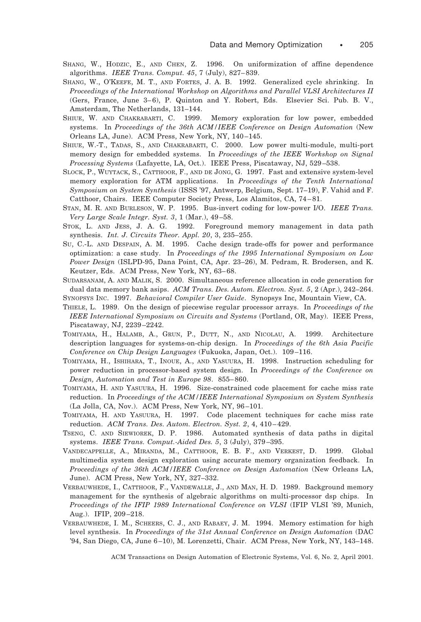- SHANG, W., HODZIC, E., AND CHEN, Z. 1996. On uniformization of affine dependence algorithms. *IEEE Trans. Comput. 45*, 7 (July), 827–839.
- SHANG, W., O'KEEFE, M. T., AND FORTES, J. A. B. 1992. Generalized cycle shrinking. In *Proceedings of the International Workshop on Algorithms and Parallel VLSI Architectures II* (Gers, France, June 3–6), P. Quinton and Y. Robert, Eds. Elsevier Sci. Pub. B. V., Amsterdam, The Netherlands, 131–144.
- SHIUE, W. AND CHAKRABARTI, C. 1999. Memory exploration for low power, embedded systems. In *Proceedings of the 36th ACM/IEEE Conference on Design Automation* (New Orleans LA, June). ACM Press, New York, NY, 140–145.
- SHIUE, W.-T., TADAS, S., AND CHAKRABARTI, C. 2000. Low power multi-module, multi-port memory design for embedded systems. In *Proceedings of the IEEE Workshop on Signal Processing Systems* (Lafayette, LA, Oct.). IEEE Press, Piscataway, NJ, 529–538.
- SLOCK, P., WUYTACK, S., CATTHOOR, F., AND DE JONG, G. 1997. Fast and extensive system-level memory exploration for ATM applications. In *Proceedings of the Tenth International Symposium on System Synthesis* (ISSS '97, Antwerp, Belgium, Sept. 17–19), F. Vahid and F. Catthoor, Chairs. IEEE Computer Society Press, Los Alamitos, CA, 74–81.
- STAN, M. R. AND BURLESON, W. P. 1995. Bus-invert coding for low-power I/O. *IEEE Trans. Very Large Scale Integr. Syst. 3*, 1 (Mar.), 49–58.
- STOK, L. AND JESS, J. A. G. 1992. Foreground memory management in data path synthesis. *Int. J. Circuits Theor. Appl. 20*, 3, 235–255.
- SU, C.-L. AND DESPAIN, A. M. 1995. Cache design trade-offs for power and performance optimization: a case study. In *Proceedings of the 1995 International Symposium on Low Power Design* (ISLPD-95, Dana Point, CA, Apr. 23–26), M. Pedram, R. Brodersen, and K. Keutzer, Eds. ACM Press, New York, NY, 63–68.
- SUDARSANAM, A. AND MALIK, S. 2000. Simultaneous reference allocation in code generation for dual data memory bank asips. *ACM Trans. Des. Autom. Electron. Syst. 5*, 2 (Apr.), 242–264.
- SYNOPSYS INC. 1997. *Behavioral Compiler User Guide*. Synopsys Inc, Mountain View, CA.
- THIELE, L. 1989. On the design of piecewise regular processor arrays. In *Proceedings of the IEEE International Symposium on Circuits and Systems* (Portland, OR, May). IEEE Press, Piscataway, NJ, 2239–2242.
- TOMIYAMA, H., HALAMB, A., GRUN, P., DUTT, N., AND NICOLAU, A. 1999. Architecture description languages for systems-on-chip design. In *Proceedings of the 6th Asia Pacific Conference on Chip Design Languages* (Fukuoka, Japan, Oct.). 109–116.
- TOMIYAMA, H., ISHIHARA, T., INOUE, A., AND YASUURA, H. 1998. Instruction scheduling for power reduction in processor-based system design. In *Proceedings of the Conference on Design, Automation and Test in Europe 98*. 855–860.
- TOMIYAMA, H. AND YASUURA, H. 1996. Size-constrained code placement for cache miss rate reduction. In *Proceedings of the ACM/IEEE International Symposium on System Synthesis* (La Jolla, CA, Nov.). ACM Press, New York, NY, 96–101.
- TOMIYAMA, H. AND YASUURA, H. 1997. Code placement techniques for cache miss rate reduction. *ACM Trans. Des. Autom. Electron. Syst. 2*, 4, 410–429.
- TSENG, C. AND SIEWIOREK, D. P. 1986. Automated synthesis of data paths in digital systems. *IEEE Trans. Comput.-Aided Des. 5*, 3 (July), 379–395.
- VANDECAPPELLE, A., MIRANDA, M., CATTHOOR, E. B. F., AND VERKEST, D. 1999. Global multimedia system design exploration using accurate memory organization feedback. In *Proceedings of the 36th ACM/IEEE Conference on Design Automation* (New Orleans LA, June). ACM Press, New York, NY, 327–332.
- VERBAUWHEDE, I., CATTHOOR, F., VANDEWALLE, J., AND MAN, H. D. 1989. Background memory management for the synthesis of algebraic algorithms on multi-processor dsp chips. In *Proceedings of the IFIP 1989 International Conference on VLSI* (IFIP VLSI '89, Munich, Aug.). IFIP, 209–218.
- VERBAUWHEDE, I. M., SCHEERS, C. J., AND RABAEY, J. M. 1994. Memory estimation for high level synthesis. In *Proceedings of the 31st Annual Conference on Design Automation* (DAC '94, San Diego, CA, June 6–10), M. Lorenzetti, Chair. ACM Press, New York, NY, 143–148.